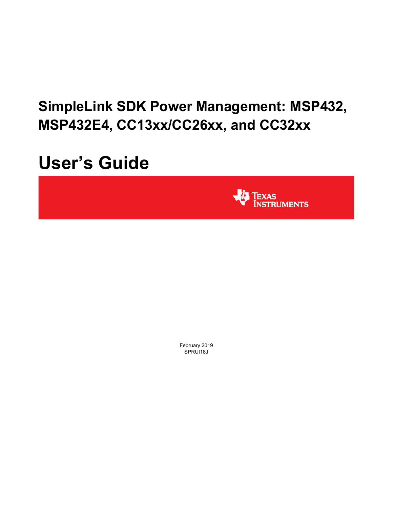# **SimpleLink SDK Power Management: MSP432, MSP432E4, CC13xx/CC26xx, and CC32xx**

# **User's Guide**



February 2019 SPRUI<sub>18J</sub>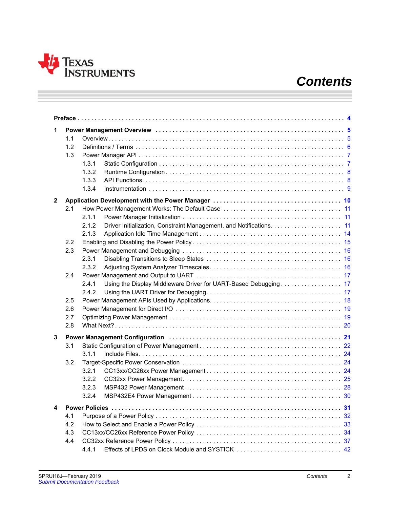

# *Contents*

| 1            |     |                                                                          |  |
|--------------|-----|--------------------------------------------------------------------------|--|
|              | 1.1 |                                                                          |  |
|              | 1.2 |                                                                          |  |
|              | 1.3 |                                                                          |  |
|              |     | 1.3.1                                                                    |  |
|              |     | 1.3.2                                                                    |  |
|              |     | 1.3.3                                                                    |  |
|              |     | 1.3.4                                                                    |  |
| $\mathbf{2}$ |     |                                                                          |  |
|              | 2.1 |                                                                          |  |
|              |     | 2.1.1                                                                    |  |
|              |     | 2.1.2                                                                    |  |
|              |     | 2.1.3                                                                    |  |
|              | 2.2 |                                                                          |  |
|              | 2.3 |                                                                          |  |
|              |     | 2.3.1                                                                    |  |
|              |     | 2.3.2                                                                    |  |
|              | 2.4 |                                                                          |  |
|              |     | Using the Display Middleware Driver for UART-Based Debugging 17<br>2.4.1 |  |
|              |     | 2.4.2                                                                    |  |
|              | 2.5 |                                                                          |  |
|              | 2.6 |                                                                          |  |
|              | 2.7 |                                                                          |  |
|              | 2.8 |                                                                          |  |
| 3            |     |                                                                          |  |
|              | 3.1 |                                                                          |  |
|              |     | 3.1.1                                                                    |  |
|              | 3.2 |                                                                          |  |
|              |     | 3.2.1                                                                    |  |
|              |     | 3.2.2                                                                    |  |
|              |     | 3.2.3                                                                    |  |
|              |     | 3.2.4                                                                    |  |
| 4            |     |                                                                          |  |
|              | 4.1 |                                                                          |  |
|              | 4.2 |                                                                          |  |
|              | 4.3 |                                                                          |  |
|              | 4.4 |                                                                          |  |
|              |     | 4.4.1                                                                    |  |
|              |     |                                                                          |  |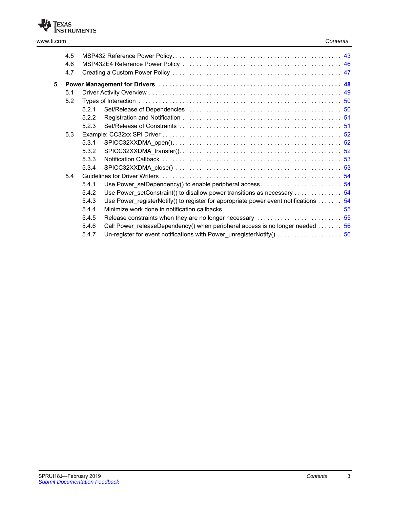

| www.ti.com | Contents |
|------------|----------|
|------------|----------|

|   | 4.5 |       |                                                                                              |  |
|---|-----|-------|----------------------------------------------------------------------------------------------|--|
|   | 4.6 |       |                                                                                              |  |
|   | 4.7 |       |                                                                                              |  |
| 5 |     |       |                                                                                              |  |
|   | 5.1 |       |                                                                                              |  |
|   | 5.2 |       |                                                                                              |  |
|   |     | 5.2.1 |                                                                                              |  |
|   |     | 5.2.2 |                                                                                              |  |
|   |     | 5.2.3 |                                                                                              |  |
|   | 5.3 |       |                                                                                              |  |
|   |     | 5.3.1 |                                                                                              |  |
|   |     | 5.3.2 |                                                                                              |  |
|   |     | 5.3.3 |                                                                                              |  |
|   |     | 5.3.4 |                                                                                              |  |
|   | 5.4 |       |                                                                                              |  |
|   |     | 5.4.1 |                                                                                              |  |
|   |     | 5.4.2 |                                                                                              |  |
|   |     | 5.4.3 | Use Power registerNotify() to register for appropriate power event notifications 54          |  |
|   |     | 5.4.4 |                                                                                              |  |
|   |     | 5.4.5 | Release constraints when they are no longer necessary  55                                    |  |
|   |     | 5.4.6 | Call Power releaseDependency() when peripheral access is no longer needed $\ldots \ldots$ 56 |  |
|   |     | 5.4.7 |                                                                                              |  |
|   |     |       |                                                                                              |  |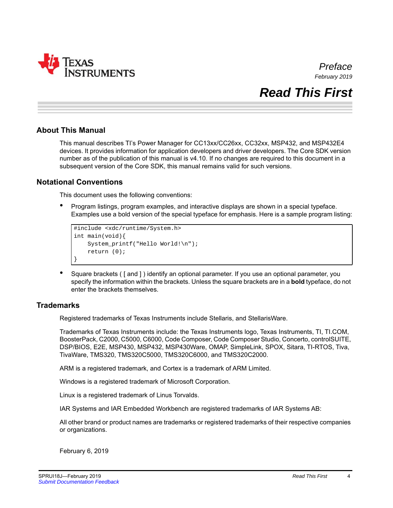<span id="page-3-0"></span>

*Preface February 2019*

# *Read This First*

#### **About This Manual**

This manual describes TI's Power Manager for CC13xx/CC26xx, CC32xx, MSP432, and MSP432E4 devices. It provides information for application developers and driver developers. The Core SDK version number as of the publication of this manual is v4.10. If no changes are required to this document in a subsequent version of the Core SDK, this manual remains valid for such versions.

#### **Notational Conventions**

This document uses the following conventions:

• Program listings, program examples, and interactive displays are shown in a special typeface. Examples use a bold version of the special typeface for emphasis. Here is a sample program listing:

```
#include <xdc/runtime/System.h>
int main(void){
     System_printf("Hello World!\n");
     return (0);
}
```
• Square brackets ( [ and ] ) identify an optional parameter. If you use an optional parameter, you specify the information within the brackets. Unless the square brackets are in a **bold** typeface, do not enter the brackets themselves.

#### **Trademarks**

Registered trademarks of Texas Instruments include Stellaris, and StellarisWare.

Trademarks of Texas Instruments include: the Texas Instruments logo, Texas Instruments, TI, TI.COM, BoosterPack, C2000, C5000, C6000, Code Composer, Code Composer Studio, Concerto, controlSUITE, DSP/BIOS, E2E, MSP430, MSP432, MSP430Ware, OMAP, SimpleLink, SPOX, Sitara, TI-RTOS, Tiva, TivaWare, TMS320, TMS320C5000, TMS320C6000, and TMS320C2000.

ARM is a registered trademark, and Cortex is a trademark of ARM Limited.

Windows is a registered trademark of Microsoft Corporation.

Linux is a registered trademark of Linus Torvalds.

IAR Systems and IAR Embedded Workbench are registered trademarks of IAR Systems AB:

All other brand or product names are trademarks or registered trademarks of their respective companies or organizations.

February 6, 2019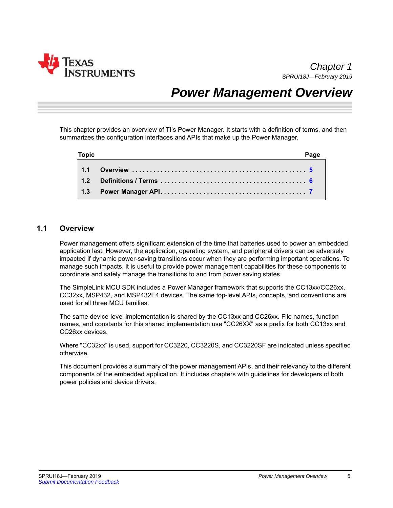<span id="page-4-0"></span>

# *Power Management Overview*

This chapter provides an overview of TI's Power Manager. It starts with a definition of terms, and then summarizes the configuration interfaces and APIs that make up the Power Manager.

| <b>Topic</b> | ,>age |
|--------------|-------|
|              |       |
|              |       |
|              |       |

#### <span id="page-4-1"></span>**1.1 Overview**

Power management offers significant extension of the time that batteries used to power an embedded application last. However, the application, operating system, and peripheral drivers can be adversely impacted if dynamic power-saving transitions occur when they are performing important operations. To manage such impacts, it is useful to provide power management capabilities for these components to coordinate and safely manage the transitions to and from power saving states.

The SimpleLink MCU SDK includes a Power Manager framework that supports the CC13xx/CC26xx, CC32xx, MSP432, and MSP432E4 devices. The same top-level APIs, concepts, and conventions are used for all three MCU families.

The same device-level implementation is shared by the CC13xx and CC26xx. File names, function names, and constants for this shared implementation use "CC26XX" as a prefix for both CC13xx and CC26xx devices.

Where "CC32xx" is used, support for CC3220, CC3220S, and CC3220SF are indicated unless specified otherwise.

This document provides a summary of the power management APIs, and their relevancy to the different components of the embedded application. It includes chapters with guidelines for developers of both power policies and device drivers.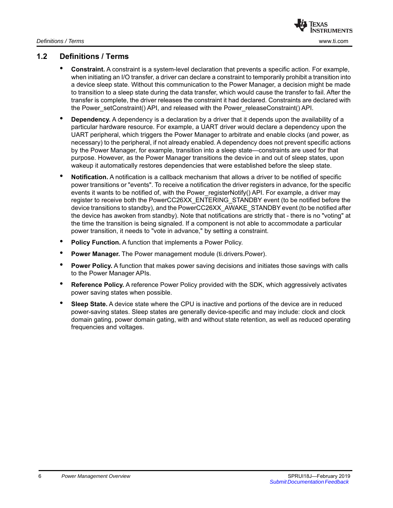

### <span id="page-5-0"></span>**1.2 Definitions / Terms**

- **Constraint.** A constraint is a system-level declaration that prevents a specific action. For example, when initiating an I/O transfer, a driver can declare a constraint to temporarily prohibit a transition into a device sleep state. Without this communication to the Power Manager, a decision might be made to transition to a sleep state during the data transfer, which would cause the transfer to fail. After the transfer is complete, the driver releases the constraint it had declared. Constraints are declared with the Power\_setConstraint() API, and released with the Power\_releaseConstraint() API.
- **Dependency.** A dependency is a declaration by a driver that it depends upon the availability of a particular hardware resource. For example, a UART driver would declare a dependency upon the UART peripheral, which triggers the Power Manager to arbitrate and enable clocks (and power, as necessary) to the peripheral, if not already enabled. A dependency does not prevent specific actions by the Power Manager, for example, transition into a sleep state—constraints are used for that purpose. However, as the Power Manager transitions the device in and out of sleep states, upon wakeup it automatically restores dependencies that were established before the sleep state.
- **Notification.** A notification is a callback mechanism that allows a driver to be notified of specific power transitions or "events". To receive a notification the driver registers in advance, for the specific events it wants to be notified of, with the Power registerNotify() API. For example, a driver may register to receive both the PowerCC26XX\_ENTERING\_STANDBY event (to be notified before the device transitions to standby), and the PowerCC26XX\_AWAKE\_STANDBY event (to be notified after the device has awoken from standby). Note that notifications are strictly that - there is no "voting" at the time the transition is being signaled. If a component is not able to accommodate a particular power transition, it needs to "vote in advance," by setting a constraint.
- **Policy Function.** A function that implements a Power Policy.
- **Power Manager.** The Power management module (ti.drivers.Power).
- **Power Policy.** A function that makes power saving decisions and initiates those savings with calls to the Power Manager APIs.
- **Reference Policy.** A reference Power Policy provided with the SDK, which aggressively activates power saving states when possible.
- **Sleep State.** A device state where the CPU is inactive and portions of the device are in reduced power-saving states. Sleep states are generally device-specific and may include: clock and clock domain gating, power domain gating, with and without state retention, as well as reduced operating frequencies and voltages.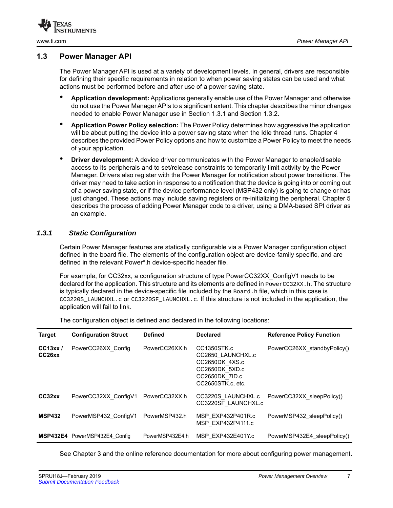

#### <span id="page-6-0"></span>**1.3 Power Manager API**

The Power Manager API is used at a variety of development levels. In general, drivers are responsible for defining their specific requirements in relation to when power saving states can be used and what actions must be performed before and after use of a power saving state.

- **Application development:** Applications generally enable use of the Power Manager and otherwise do not use the Power Manager APIs to a significant extent. This chapter describes the minor changes needed to enable Power Manager use in [Section 1.3.1](#page-6-1) and [Section 1.3.2.](#page-7-0)
- **Application Power Policy selection:** The Power Policy determines how aggressive the application will be about putting the device into a power saving state when the Idle thread runs. [Chapter 4](#page-30-1) describes the provided Power Policy options and how to customize a Power Policy to meet the needs of your application.
- **Driver development:** A device driver communicates with the Power Manager to enable/disable access to its peripherals and to set/release constraints to temporarily limit activity by the Power Manager. Drivers also register with the Power Manager for notification about power transitions. The driver may need to take action in response to a notification that the device is going into or coming out of a power saving state, or if the device performance level (MSP432 only) is going to change or has just changed. These actions may include saving registers or re-initializing the peripheral. [Chapter 5](#page-47-1) describes the process of adding Power Manager code to a driver, using a DMA-based SPI driver as an example.

#### <span id="page-6-1"></span>*1.3.1 Static Configuration*

Certain Power Manager features are statically configurable via a Power Manager configuration object defined in the board file. The elements of the configuration object are device-family specific, and are defined in the relevant Power\*.h device-specific header file.

For example, for CC32xx, a configuration structure of type PowerCC32XX\_ConfigV1 needs to be declared for the application. This structure and its elements are defined in PowerCC32XX.h. The structure is typically declared in the device-specific file included by the  $Board$ .h file, which in this case is CC3220S\_LAUNCHXL.c or CC3220SF\_LAUNCHXL.c. If this structure is not included in the application, the application will fail to link.

| <b>Target</b>     | <b>Configuration Struct</b>   | <b>Defined</b>  | <b>Declared</b>                                                                                             | <b>Reference Policy Function</b> |
|-------------------|-------------------------------|-----------------|-------------------------------------------------------------------------------------------------------------|----------------------------------|
| CC13xx/<br>CC26xx | PowerCC26XX Config            | PowerCC26XX.h   | CC1350STK.c<br>CC2650 LAUNCHXL.c<br>CC2650DK 4XS.c<br>CC2650DK 5XD.c<br>CC2650DK 7ID.c<br>CC2650STK.c. etc. | PowerCC26XX standbyPolicy()      |
| CC32xx            | PowerCC32XX ConfigV1          | PowerCC32XX.h   | CC3220S LAUNCHXL.c<br>CC3220SF LAUNCHXL.c                                                                   | PowerCC32XX sleepPolicy()        |
| <b>MSP432</b>     | PowerMSP432 ConfigV1          | PowerMSP432.h   | MSP EXP432P401R.c<br>MSP EXP432P4111.c                                                                      | PowerMSP432 sleepPolicy()        |
|                   | MSP432E4 PowerMSP432E4 Config | PowerMSP432E4.h | MSP EXP432E401Y.c                                                                                           | PowerMSP432E4 sleepPolicy()      |

The configuration object is defined and declared in the following locations:

See [Chapter 3](#page-20-1) and the online reference documentation for more about configuring power management.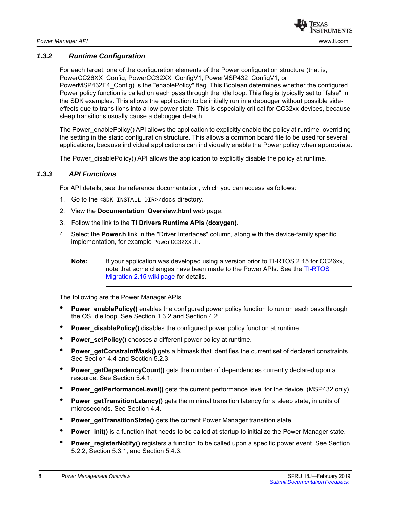

#### <span id="page-7-0"></span>*1.3.2 Runtime Configuration*

For each target, one of the configuration elements of the Power configuration structure (that is, PowerCC26XX\_Config, PowerCC32XX\_ConfigV1, PowerMSP432\_ConfigV1, or PowerMSP432E4\_Config) is the "enablePolicy" flag. This Boolean determines whether the configured Power policy function is called on each pass through the Idle loop. This flag is typically set to "false" in the SDK examples. This allows the application to be initially run in a debugger without possible sideeffects due to transitions into a low-power state. This is especially critical for CC32xx devices, because sleep transitions usually cause a debugger detach.

The Power enablePolicy() API allows the application to explicitly enable the policy at runtime, overriding the setting in the static configuration structure. This allows a common board file to be used for several applications, because individual applications can individually enable the Power policy when appropriate.

The Power\_disablePolicy() API allows the application to explicitly disable the policy at runtime.

#### <span id="page-7-1"></span>*1.3.3 API Functions*

For API details, see the reference documentation, which you can access as follows:

- 1. Go to the <SDK\_INSTALL\_DIR>/docs directory.
- 2. View the **Documentation\_Overview.html** web page.
- 3. Follow the link to the **TI Drivers Runtime APIs (doxygen)**.
- 4. Select the **Power.h** link in the "Driver Interfaces" column, along with the device-family specific implementation, for example PowerCC32XX.h.
	- **Note:** If your application was developed using a version prior to TI-RTOS 2.15 for CC26xx, note that some changes have been made to the Power APIs. See the [TI-RTOS](http://processors.wiki.ti.com/index.php/TI-RTOS_Migration_2_15)  [Migration 2.15 wiki page](http://processors.wiki.ti.com/index.php/TI-RTOS_Migration_2_15) for details.

The following are the Power Manager APIs.

- Power enablePolicy() enables the configured power policy function to run on each pass through the OS Idle loop. See [Section 1.3.2](#page-7-0) and [Section 4.2](#page-32-1).
- **Power\_disablePolicy()** disables the configured power policy function at runtime.
- **Power setPolicy()** chooses a different power policy at runtime.
- **Power getConstraintMask()** gets a bitmask that identifies the current set of declared constraints. See [Section 4.4](#page-36-1) and [Section 5.2.3](#page-50-2).
- **Power\_getDependencyCount()** gets the number of dependencies currently declared upon a resource. See [Section 5.4.1](#page-53-4).
- **Power getPerformanceLevel()** gets the current performance level for the device. (MSP432 only)
- **Power** getTransitionLatency() gets the minimal transition latency for a sleep state, in units of microseconds. See [Section 4.4.](#page-36-1)
- **Power\_getTransitionState()** gets the current Power Manager transition state.
- **Power init()** is a function that needs to be called at startup to initialize the Power Manager state.
- **Power\_registerNotify()** registers a function to be called upon a specific power event. See Section [5.2.2](#page-50-3), [Section 5.3.1](#page-51-3), and [Section 5.4.3](#page-53-5).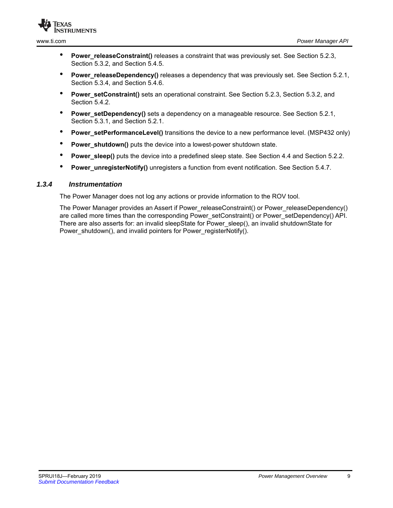

- **Power\_releaseConstraint()** releases a constraint that was previously set. See [Section 5.2.3,](#page-50-2) [Section 5.3.2](#page-51-4), and [Section 5.4.5.](#page-54-2)
- Power releaseDependency() releases a dependency that was previously set. See [Section 5.2.1,](#page-49-2) [Section 5.3.4](#page-52-2), and [Section 5.4.6.](#page-55-3)
- **Power setConstraint()** sets an operational constraint. See [Section 5.2.3](#page-50-2), [Section 5.3.2](#page-51-4), and [Section 5.4.2](#page-53-6).
- **Power setDependency()** sets a dependency on a manageable resource. See [Section 5.2.1,](#page-49-2) [Section 5.3.1](#page-51-3), and [Section 5.2.1.](#page-49-2)
- **Power\_setPerformanceLevel()** transitions the device to a new performance level. (MSP432 only)
- **Power\_shutdown()** puts the device into a lowest-power shutdown state.
- **Power\_sleep()** puts the device into a predefined sleep state. See [Section 4.4](#page-36-1) and [Section 5.2.2.](#page-50-3)
- **Power unregisterNotify()** unregisters a function from event notification. See [Section 5.4.7.](#page-55-2)

#### <span id="page-8-0"></span>*1.3.4 Instrumentation*

The Power Manager does not log any actions or provide information to the ROV tool.

The Power Manager provides an Assert if Power\_releaseConstraint() or Power\_releaseDependency() are called more times than the corresponding Power\_setConstraint() or Power\_setDependency() API. There are also asserts for: an invalid sleepState for Power sleep(), an invalid shutdownState for Power\_shutdown(), and invalid pointers for Power\_registerNotify().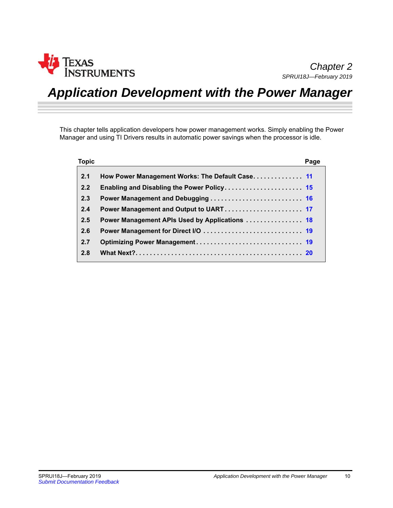

# <span id="page-9-0"></span>*Application Development with the Power Manager*

This chapter tells application developers how power management works. Simply enabling the Power Manager and using TI Drivers results in automatic power savings when the processor is idle.

| <b>Topic</b> |                                                 | Page |
|--------------|-------------------------------------------------|------|
| 2.1          | How Power Management Works: The Default Case 11 |      |
| 2.2          |                                                 |      |
| 2.3          |                                                 |      |
| 2.4          |                                                 |      |
| 2.5          |                                                 |      |
| 2.6          |                                                 |      |
| 2.7          |                                                 |      |
| 2.8          |                                                 |      |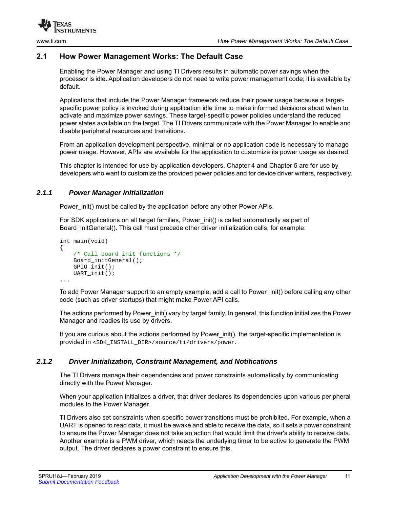

### <span id="page-10-0"></span>**2.1 How Power Management Works: The Default Case**

Enabling the Power Manager and using TI Drivers results in automatic power savings when the processor is idle. Application developers do not need to write power management code; it is available by default.

Applications that include the Power Manager framework reduce their power usage because a targetspecific power policy is invoked during application idle time to make informed decisions about when to activate and maximize power savings. These target-specific power policies understand the reduced power states available on the target. The TI Drivers communicate with the Power Manager to enable and disable peripheral resources and transitions.

From an application development perspective, minimal or no application code is necessary to manage power usage. However, APIs are available for the application to customize its power usage as desired.

This chapter is intended for use by application developers. [Chapter 4](#page-30-1) and [Chapter 5](#page-47-1) are for use by developers who want to customize the provided power policies and for device driver writers, respectively.

#### <span id="page-10-1"></span>*2.1.1 Power Manager Initialization*

Power init() must be called by the application before any other Power APIs.

For SDK applications on all target families, Power init() is called automatically as part of Board initGeneral(). This call must precede other driver initialization calls, for example:

```
int main(void)
{
     /* Call board init functions */
     Board_initGeneral();
     GPIO_init();
     UART_init();
...
```
To add Power Manager support to an empty example, add a call to Power\_init() before calling any other code (such as driver startups) that might make Power API calls.

The actions performed by Power\_init() vary by target family. In general, this function initializes the Power Manager and readies its use by drivers.

If you are curious about the actions performed by Power\_init(), the target-specific implementation is provided in <SDK\_INSTALL\_DIR>/source/ti/drivers/power.

#### <span id="page-10-2"></span>*2.1.2 Driver Initialization, Constraint Management, and Notifications*

The TI Drivers manage their dependencies and power constraints automatically by communicating directly with the Power Manager.

When your application initializes a driver, that driver declares its dependencies upon various peripheral modules to the Power Manager.

TI Drivers also set constraints when specific power transitions must be prohibited. For example, when a UART is opened to read data, it must be awake and able to receive the data, so it sets a power constraint to ensure the Power Manager does not take an action that would limit the driver's ability to receive data. Another example is a PWM driver, which needs the underlying timer to be active to generate the PWM output. The driver declares a power constraint to ensure this.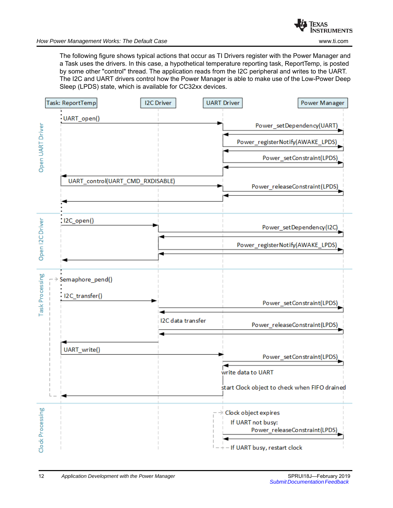**NSTRUMENTS** 

**EXAS** 

The following figure shows typical actions that occur as TI Drivers register with the Power Manager and a Task uses the drivers. In this case, a hypothetical temperature reporting task, ReportTemp, is posted by some other "control" thread. The application reads from the I2C peripheral and writes to the UART. The I2C and UART drivers control how the Power Manager is able to make use of the Low-Power Deep Sleep (LPDS) state, which is available for CC32xx devices.

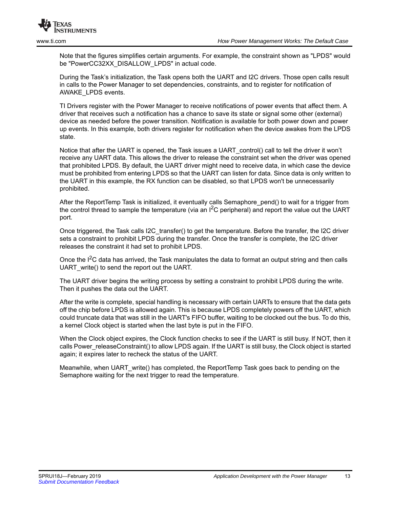

Note that the figures simplifies certain arguments. For example, the constraint shown as "LPDS" would be "PowerCC32XX\_DISALLOW\_LPDS" in actual code.

During the Task's initialization, the Task opens both the UART and I2C drivers. Those open calls result in calls to the Power Manager to set dependencies, constraints, and to register for notification of AWAKE\_LPDS events.

TI Drivers register with the Power Manager to receive notifications of power events that affect them. A driver that receives such a notification has a chance to save its state or signal some other (external) device as needed before the power transition. Notification is available for both power down and power up events. In this example, both drivers register for notification when the device awakes from the LPDS state.

Notice that after the UART is opened, the Task issues a UART\_control() call to tell the driver it won't receive any UART data. This allows the driver to release the constraint set when the driver was opened that prohibited LPDS. By default, the UART driver might need to receive data, in which case the device must be prohibited from entering LPDS so that the UART can listen for data. Since data is only written to the UART in this example, the RX function can be disabled, so that LPDS won't be unnecessarily prohibited.

After the ReportTemp Task is initialized, it eventually calls Semaphore\_pend() to wait for a trigger from the control thread to sample the temperature (via an  $I^2C$  peripheral) and report the value out the UART port.

Once triggered, the Task calls I2C\_transfer() to get the temperature. Before the transfer, the I2C driver sets a constraint to prohibit LPDS during the transfer. Once the transfer is complete, the I2C driver releases the constraint it had set to prohibit LPDS.

Once the I<sup>2</sup>C data has arrived, the Task manipulates the data to format an output string and then calls UART\_write() to send the report out the UART.

The UART driver begins the writing process by setting a constraint to prohibit LPDS during the write. Then it pushes the data out the UART.

After the write is complete, special handling is necessary with certain UARTs to ensure that the data gets off the chip before LPDS is allowed again. This is because LPDS completely powers off the UART, which could truncate data that was still in the UART's FIFO buffer, waiting to be clocked out the bus. To do this, a kernel Clock object is started when the last byte is put in the FIFO.

When the Clock object expires, the Clock function checks to see if the UART is still busy. If NOT, then it calls Power\_releaseConstraint() to allow LPDS again. If the UART is still busy, the Clock object is started again; it expires later to recheck the status of the UART.

Meanwhile, when UART\_write() has completed, the ReportTemp Task goes back to pending on the Semaphore waiting for the next trigger to read the temperature.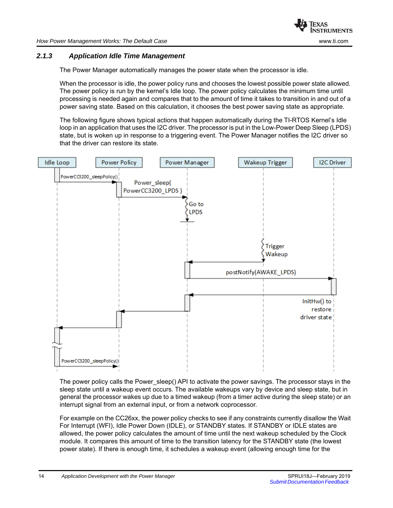#### <span id="page-13-0"></span>*2.1.3 Application Idle Time Management*

The Power Manager automatically manages the power state when the processor is idle.

When the processor is idle, the power policy runs and chooses the lowest possible power state allowed. The power policy is run by the kernel's Idle loop. The power policy calculates the minimum time until processing is needed again and compares that to the amount of time it takes to transition in and out of a power saving state. Based on this calculation, it chooses the best power saving state as appropriate.

The following figure shows typical actions that happen automatically during the TI-RTOS Kernel's Idle loop in an application that uses the I2C driver. The processor is put in the Low-Power Deep Sleep (LPDS) state, but is woken up in response to a triggering event. The Power Manager notifies the I2C driver so that the driver can restore its state.



The power policy calls the Power sleep() API to activate the power savings. The processor stays in the sleep state until a wakeup event occurs. The available wakeups vary by device and sleep state, but in general the processor wakes up due to a timed wakeup (from a timer active during the sleep state) or an interrupt signal from an external input, or from a network coprocessor.

For example on the CC26xx, the power policy checks to see if any constraints currently disallow the Wait For Interrupt (WFI), Idle Power Down (IDLE), or STANDBY states. If STANDBY or IDLE states are allowed, the power policy calculates the amount of time until the next wakeup scheduled by the Clock module. It compares this amount of time to the transition latency for the STANDBY state (the lowest power state). If there is enough time, it schedules a wakeup event (allowing enough time for the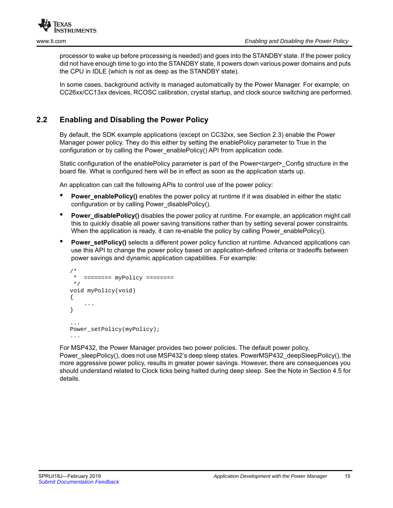

processor to wake up before processing is needed) and goes into the STANDBY state. If the power policy did not have enough time to go into the STANDBY state, it powers down various power domains and puts the CPU in IDLE (which is not as deep as the STANDBY state).

In some cases, background activity is managed automatically by the Power Manager. For example, on CC26xx/CC13xx devices, RCOSC calibration, crystal startup, and clock source switching are performed.

# <span id="page-14-0"></span>**2.2 Enabling and Disabling the Power Policy**

By default, the SDK example applications (except on CC32xx, see [Section 2.3\)](#page-15-0) enable the Power Manager power policy. They do this either by setting the enablePolicy parameter to True in the configuration or by calling the Power\_enablePolicy() API from application code.

Static configuration of the enablePolicy parameter is part of the Power<*target*>\_Config structure in the board file. What is configured here will be in effect as soon as the application starts up.

An application can call the following APIs to control use of the power policy:

- **Power** enablePolicy() enables the power policy at runtime if it was disabled in either the static configuration or by calling Power\_disablePolicy().
- **Power disablePolicy()** disables the power policy at runtime. For example, an application might call this to quickly disable all power saving transitions rather than by setting several power constraints. When the application is ready, it can re-enable the policy by calling Power enablePolicy().
- **Power\_setPolicy()** selects a different power policy function at runtime. Advanced applications can use this API to change the power policy based on application-defined criteria or tradeoffs between power savings and dynamic application capabilities. For example:

```
/ *
    * ======== myPolicy ========
    */
   void myPolicy(void)
   {
 ...
   }
 ... 
   Power_setPolicy(myPolicy);
 ...
```
For MSP432, the Power Manager provides two power policies. The default power policy, Power\_sleepPolicy(), does not use MSP432's deep sleep states. PowerMSP432\_deepSleepPolicy(), the more aggressive power policy, results in greater power savings. However, there are consequences you should understand related to Clock ticks being halted during deep sleep. See the Note in [Section 4.5](#page-42-1) for details.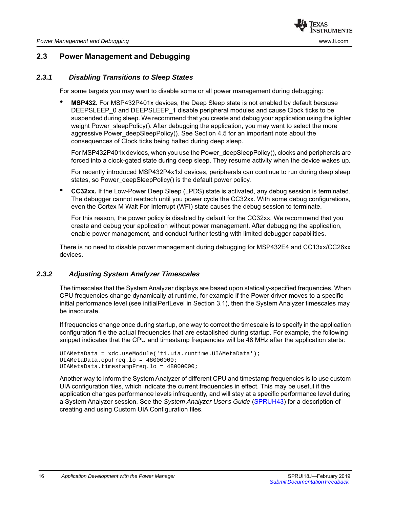# <span id="page-15-0"></span>**2.3 Power Management and Debugging**

#### <span id="page-15-1"></span>*2.3.1 Disabling Transitions to Sleep States*

For some targets you may want to disable some or all power management during debugging:

• **MSP432.** For MSP432P401x devices, the Deep Sleep state is not enabled by default because DEEPSLEEP\_0 and DEEPSLEEP\_1 disable peripheral modules and cause Clock ticks to be suspended during sleep. We recommend that you create and debug your application using the lighter weight Power\_sleepPolicy(). After debugging the application, you may want to select the more aggressive Power\_deepSleepPolicy(). See [Section 4.5](#page-42-1) for an important note about the consequences of Clock ticks being halted during deep sleep.

For MSP432P401x devices, when you use the Power deepSleepPolicy(), clocks and peripherals are forced into a clock-gated state during deep sleep. They resume activity when the device wakes up.

For recently introduced MSP432P4x1xl devices, peripherals can continue to run during deep sleep states, so Power deepSleepPolicy() is the default power policy.

• **CC32xx.** If the Low-Power Deep Sleep (LPDS) state is activated, any debug session is terminated. The debugger cannot reattach until you power cycle the CC32xx. With some debug configurations, even the Cortex M Wait For Interrupt (WFI) state causes the debug session to terminate.

For this reason, the power policy is disabled by default for the CC32xx. We recommend that you create and debug your application without power management. After debugging the application, enable power management, and conduct further testing with limited debugger capabilities.

There is no need to disable power management during debugging for MSP432E4 and CC13xx/CC26xx devices.

#### <span id="page-15-2"></span>*2.3.2 Adjusting System Analyzer Timescales*

The timescales that the System Analyzer displays are based upon statically-specified frequencies. When CPU frequencies change dynamically at runtime, for example if the Power driver moves to a specific initial performance level (see initialPerfLevel in [Section 3.1](#page-21-1)), then the System Analyzer timescales may be inaccurate.

If frequencies change once during startup, one way to correct the timescale is to specify in the application configuration file the actual frequencies that are established during startup. For example, the following snippet indicates that the CPU and timestamp frequencies will be 48 MHz after the application starts:

```
UIAMetaData = xdc.useModule('ti.uia.runtime.UIAMetaData'); 
UIAMetaData.cpuFreq.lo = 48000000; 
UIAMetaData.timestampFreq.lo = 48000000;
```
Another way to inform the System Analyzer of different CPU and timestamp frequencies is to use custom UIA configuration files, which indicate the current frequencies in effect. This may be useful if the application changes performance levels infrequently, and will stay at a specific performance level during a System Analyzer session. See the *System Analyzer User's Guide* [\(SPRUH43](http://www.ti.com/lit/pdf/spruh43)) for a description of creating and using Custom UIA Configuration files.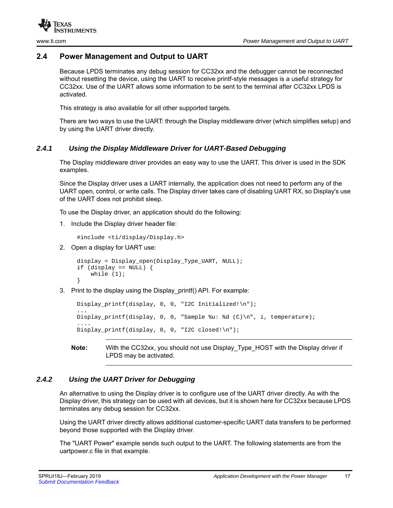### <span id="page-16-0"></span>**2.4 Power Management and Output to UART**

Because LPDS terminates any debug session for CC32xx and the debugger cannot be reconnected without resetting the device, using the UART to receive printf-style messages is a useful strategy for CC32xx. Use of the UART allows some information to be sent to the terminal after CC32xx LPDS is activated.

This strategy is also available for all other supported targets.

There are two ways to use the UART: through the Display middleware driver (which simplifies setup) and by using the UART driver directly.

#### <span id="page-16-1"></span>*2.4.1 Using the Display Middleware Driver for UART-Based Debugging*

The Display middleware driver provides an easy way to use the UART. This driver is used in the SDK examples.

Since the Display driver uses a UART internally, the application does not need to perform any of the UART open, control, or write calls. The Display driver takes care of disabling UART RX, so Display's use of the UART does not prohibit sleep.

To use the Display driver, an application should do the following:

1. Include the Display driver header file:

#include <ti/display/Display.h>

2. Open a display for UART use:

```
 display = Display_open(Display_Type_UART, NULL);
    if (display == NULL) {
        while (1);
 }
```
3. Print to the display using the Display printf() API. For example:

```
Display_printf(display, 0, 0, "I2C Initialized!\n");
 ...
    Display_printf(display, 0, 0, "Sample %u: %d (C)\n", i, temperature);
 ....
    Display printf(display, 0, 0, "I2C closed!\n\pi");
```

```
Note: With the CC32xx, you should not use Display Type HOST with the Display driver if
           LPDS may be activated.
```
#### <span id="page-16-2"></span>*2.4.2 Using the UART Driver for Debugging*

An alternative to using the Display driver is to configure use of the UART driver directly. As with the Display driver, this strategy can be used with all devices, but it is shown here for CC32xx because LPDS terminates any debug session for CC32xx.

Using the UART driver directly allows additional customer-specific UART data transfers to be performed beyond those supported with the Display driver.

The "UART Power" example sends such output to the UART. The following statements are from the uartpower.c file in that example.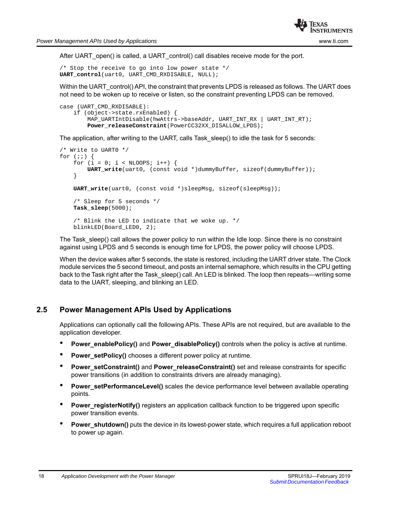After UART\_open() is called, a UART\_control() call disables receive mode for the port.

/\* Stop the receive to go into low power state \*/ **UART\_control**(uart0, UART\_CMD\_RXDISABLE, NULL);

Within the UART\_control() API, the constraint that prevents LPDS is released as follows. The UART does not need to be woken up to receive or listen, so the constraint preventing LPDS can be removed.

```
case (UART_CMD_RXDISABLE):
     if (object->state.rxEnabled) {
         MAP_UARTIntDisable(hwAttrs->baseAddr, UART_INT_RX | UART_INT_RT);
        Power_releaseConstraint(PowerCC32XX_DISALLOW_LPDS);
```
The application, after writing to the UART, calls Task\_sleep() to idle the task for 5 seconds:

```
/* Write to UART0 */
for (i; j) {
    for (i = 0; i < NLOOPS; i++) {
         UART_write(uart0, (const void *)dummyBuffer, sizeof(dummyBuffer));
     }
     UART_write(uart0, (const void *)sleepMsg, sizeof(sleepMsg));
     /* Sleep for 5 seconds */
     Task_sleep(5000);
     /* Blink the LED to indicate that we woke up. */
     blinkLED(Board_LED0, 2);
```
The Task\_sleep() call allows the power policy to run within the Idle loop. Since there is no constraint against using LPDS and 5 seconds is enough time for LPDS, the power policy will choose LPDS.

When the device wakes after 5 seconds, the state is restored, including the UART driver state. The Clock module services the 5 second timeout, and posts an internal semaphore, which results in the CPU getting back to the Task right after the Task\_sleep() call. An LED is blinked. The loop then repeats—writing some data to the UART, sleeping, and blinking an LED.

### <span id="page-17-0"></span>**2.5 Power Management APIs Used by Applications**

Applications can optionally call the following APIs. These APIs are not required, but are available to the application developer.

- **Power\_enablePolicy()** and **Power\_disablePolicy()** controls when the policy is active at runtime.
- **Power\_setPolicy()** chooses a different power policy at runtime.
- **Power\_setConstraint()** and **Power\_releaseConstraint()** set and release constraints for specific power transitions (in addition to constraints drivers are already managing).
- **Power\_setPerformanceLevel()** scales the device performance level between available operating points.
- **Power\_registerNotify()** registers an application callback function to be triggered upon specific power transition events.
- **Power\_shutdown()** puts the device in its lowest-power state, which requires a full application reboot to power up again.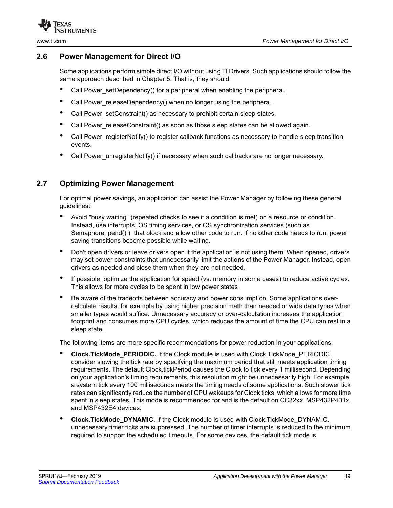

#### <span id="page-18-0"></span>**2.6 Power Management for Direct I/O**

Some applications perform simple direct I/O without using TI Drivers. Such applications should follow the same approach described in [Chapter 5](#page-47-1). That is, they should:

- Call Power\_setDependency() for a peripheral when enabling the peripheral.
- Call Power\_releaseDependency() when no longer using the peripheral.
- Call Power setConstraint() as necessary to prohibit certain sleep states.
- Call Power releaseConstraint() as soon as those sleep states can be allowed again.
- Call Power registerNotify() to register callback functions as necessary to handle sleep transition events.
- Call Power unregisterNotify() if necessary when such callbacks are no longer necessary.

#### <span id="page-18-1"></span>**2.7 Optimizing Power Management**

For optimal power savings, an application can assist the Power Manager by following these general guidelines:

- Avoid "busy waiting" (repeated checks to see if a condition is met) on a resource or condition. Instead, use interrupts, OS timing services, or OS synchronization services (such as Semaphore\_pend() ) that block and allow other code to run. If no other code needs to run, power saving transitions become possible while waiting.
- Don't open drivers or leave drivers open if the application is not using them. When opened, drivers may set power constraints that unnecessarily limit the actions of the Power Manager. Instead, open drivers as needed and close them when they are not needed.
- If possible, optimize the application for speed (vs. memory in some cases) to reduce active cycles. This allows for more cycles to be spent in low power states.
- Be aware of the tradeoffs between accuracy and power consumption. Some applications overcalculate results, for example by using higher precision math than needed or wide data types when smaller types would suffice. Unnecessary accuracy or over-calculation increases the application footprint and consumes more CPU cycles, which reduces the amount of time the CPU can rest in a sleep state.

The following items are more specific recommendations for power reduction in your applications:

- **Clock.TickMode\_PERIODIC.** If the Clock module is used with Clock.TickMode\_PERIODIC, consider slowing the tick rate by specifying the maximum period that still meets application timing requirements. The default Clock.tickPeriod causes the Clock to tick every 1 millisecond. Depending on your application's timing requirements, this resolution might be unnecessarily high. For example, a system tick every 100 milliseconds meets the timing needs of some applications. Such slower tick rates can significantly reduce the number of CPU wakeups for Clock ticks, which allows for more time spent in sleep states. This mode is recommended for and is the default on CC32xx, MSP432P401x, and MSP432E4 devices.
- **Clock.TickMode\_DYNAMIC.** If the Clock module is used with Clock.TickMode\_DYNAMIC, unnecessary timer ticks are suppressed. The number of timer interrupts is reduced to the minimum required to support the scheduled timeouts. For some devices, the default tick mode is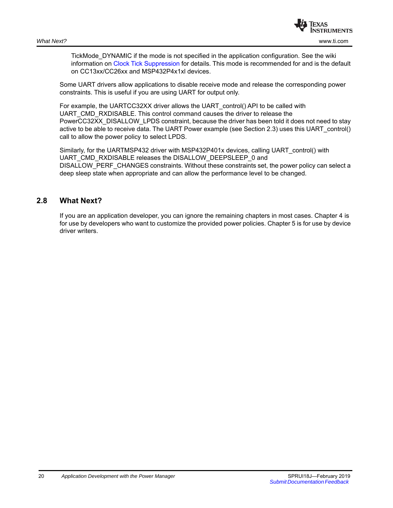

TickMode\_DYNAMIC if the mode is not specified in the application configuration. See the wiki information on [Clock Tick Suppression](http://processors.wiki.ti.com/index.php/SYS/BIOS_for_the_MSP430#Clock_Tick_Suppression) for details. This mode is recommended for and is the default on CC13xx/CC26xx and MSP432P4x1xl devices.

Some UART drivers allow applications to disable receive mode and release the corresponding power constraints. This is useful if you are using UART for output only.

For example, the UARTCC32XX driver allows the UART\_control() API to be called with UART\_CMD\_RXDISABLE. This control command causes the driver to release the PowerCC32XX\_DISALLOW\_LPDS constraint, because the driver has been told it does not need to stay active to be able to receive data. The UART Power example (see [Section 2.3\)](#page-15-0) uses this UART\_control() call to allow the power policy to select LPDS.

Similarly, for the UARTMSP432 driver with MSP432P401x devices, calling UART\_control() with UART\_CMD\_RXDISABLE releases the DISALLOW\_DEEPSLEEP\_0 and DISALLOW\_PERF\_CHANGES constraints. Without these constraints set, the power policy can select a deep sleep state when appropriate and can allow the performance level to be changed.

#### <span id="page-19-0"></span>**2.8 What Next?**

If you are an application developer, you can ignore the remaining chapters in most cases. [Chapter 4](#page-30-1) is for use by developers who want to customize the provided power policies. [Chapter 5](#page-47-1) is for use by device driver writers.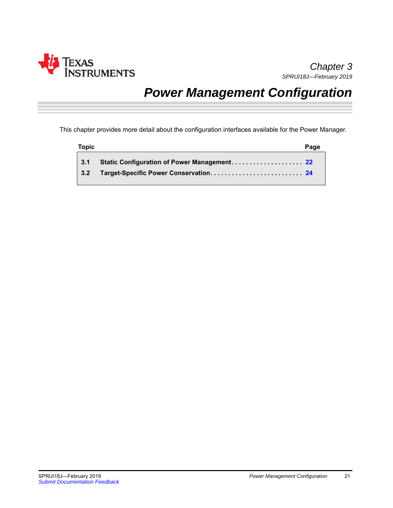<span id="page-20-0"></span>

# <span id="page-20-1"></span>*Power Management Configuration*

This chapter provides more detail about the configuration interfaces available for the Power Manager.

| <b>Topic</b> |                                                    | Page |
|--------------|----------------------------------------------------|------|
| 3.1          | <b>Static Configuration of Power Management 22</b> |      |
| 3.2          |                                                    |      |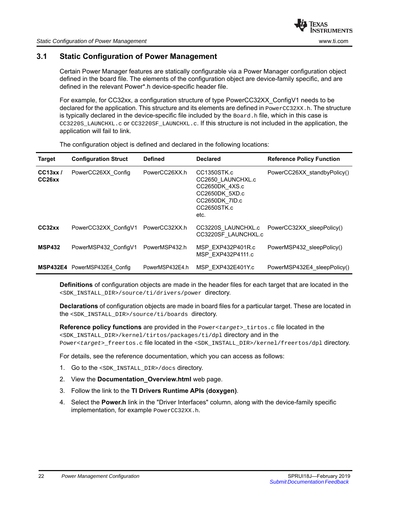#### <span id="page-21-0"></span>**3.1 Static Configuration of Power Management**

<span id="page-21-1"></span>Certain Power Manager features are statically configurable via a Power Manager configuration object defined in the board file. The elements of the configuration object are device-family specific, and are defined in the relevant Power\*.h device-specific header file.

For example, for CC32xx, a configuration structure of type PowerCC32XX\_ConfigV1 needs to be declared for the application. This structure and its elements are defined in PowerCC32XX.h. The structure is typically declared in the device-specific file included by the Board.h file, which in this case is CC3220S\_LAUNCHXL.c or CC3220SF\_LAUNCHXL.c. If this structure is not included in the application, the application will fail to link.

The configuration object is defined and declared in the following locations:

| <b>Target</b>     | <b>Configuration Struct</b>   | <b>Defined</b>  | <b>Declared</b>                                                                                               | <b>Reference Policy Function</b> |
|-------------------|-------------------------------|-----------------|---------------------------------------------------------------------------------------------------------------|----------------------------------|
| CC13xx/<br>CC26xx | PowerCC26XX Config            | PowerCC26XX.h   | CC1350STK.c<br>CC2650 LAUNCHXL.c<br>CC2650DK 4XS.c<br>CC2650DK 5XD.c<br>CC2650DK 7ID.c<br>CC2650STK.c<br>etc. | PowerCC26XX standbyPolicy()      |
| CC32xx            | PowerCC32XX ConfigV1          | PowerCC32XX.h   | CC3220S LAUNCHXL.c<br>CC3220SF LAUNCHXL.c                                                                     | PowerCC32XX sleepPolicy()        |
| <b>MSP432</b>     | PowerMSP432 ConfigV1          | PowerMSP432.h   | MSP EXP432P401R.c<br>MSP EXP432P4111.c                                                                        | PowerMSP432 sleepPolicy()        |
|                   | MSP432E4 PowerMSP432E4 Config | PowerMSP432E4.h | MSP EXP432E401Y.c                                                                                             | PowerMSP432E4 sleepPolicy()      |

**Definitions** of configuration objects are made in the header files for each target that are located in the <SDK\_INSTALL\_DIR>/source/ti/drivers/power directory.

**Declarations** of configuration objects are made in board files for a particular target. These are located in the <SDK\_INSTALL\_DIR>/source/ti/boards directory.

**Reference policy functions** are provided in the Power<*target*>\_tirtos.c file located in the <SDK\_INSTALL\_DIR>/kernel/tirtos/packages/ti/dpl directory and in the Power<*target*>\_freertos.c file located in the <SDK\_INSTALL\_DIR>/kernel/freertos/dpl directory.

For details, see the reference documentation, which you can access as follows:

- 1. Go to the <SDK\_INSTALL\_DIR>/docs directory.
- 2. View the **Documentation\_Overview.html** web page.
- 3. Follow the link to the **TI Drivers Runtime APIs (doxygen)**.
- 4. Select the **Power.h** link in the "Driver Interfaces" column, along with the device-family specific implementation, for example PowerCC32XX.h.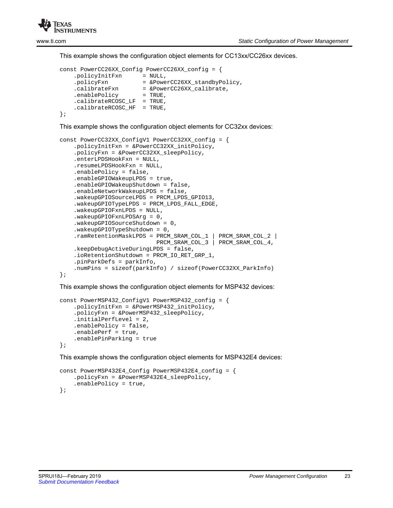

This example shows the configuration object elements for CC13xx/CC26xx devices.

```
const PowerCC26XX_Config PowerCC26XX_config = {
     .policyInitFxn = NULL,
     .policyFxn = &PowerCC26XX_standbyPolicy,
    .calibrateFxn = &PowerCC26XX_calibrate,<br>.enablePolicy = TRUE,
    .enablePolicy
 .calibrateRCOSC_LF = TRUE,
 .calibrateRCOSC_HF = TRUE,
};
```
This example shows the configuration object elements for CC32xx devices:

```
const PowerCC32XX_ConfigV1 PowerCC32XX_config = {
     .policyInitFxn = &PowerCC32XX_initPolicy,
     .policyFxn = &PowerCC32XX_sleepPolicy,
     .enterLPDSHookFxn = NULL,
     .resumeLPDSHookFxn = NULL,
     .enablePolicy = false,
     .enableGPIOWakeupLPDS = true,
     .enableGPIOWakeupShutdown = false,
     .enableNetworkWakeupLPDS = false,
     .wakeupGPIOSourceLPDS = PRCM_LPDS_GPIO13,
     .wakeupGPIOTypeLPDS = PRCM_LPDS_FALL_EDGE,
     .wakeupGPIOFxnLPDS = NULL,
     .wakeupGPIOFxnLPDSArg = 0,
     .wakeupGPIOSourceShutdown = 0,
     .wakeupGPIOTypeShutdown = 0,
     .ramRetentionMaskLPDS = PRCM_SRAM_COL_1 | PRCM_SRAM_COL_2 |
                              PRCM_SRAM_COL_3 | PRCM_SRAM_COL_4,
     .keepDebugActiveDuringLPDS = false,
     .ioRetentionShutdown = PRCM_IO_RET_GRP_1,
     .pinParkDefs = parkInfo,
     .numPins = sizeof(parkInfo) / sizeof(PowerCC32XX_ParkInfo)
};
```
This example shows the configuration object elements for MSP432 devices:

```
const PowerMSP432_ConfigV1 PowerMSP432_config = {
     .policyInitFxn = &PowerMSP432_initPolicy,
     .policyFxn = &PowerMSP432_sleepPolicy,
     .initialPerfLevel = 2,
     .enablePolicy = false,
     .enablePerf = true,
     .enablePinParking = true 
};
```
This example shows the configuration object elements for MSP432E4 devices:

```
const PowerMSP432E4_Config PowerMSP432E4_config = {
     .policyFxn = &PowerMSP432E4_sleepPolicy,
     .enablePolicy = true,
};
```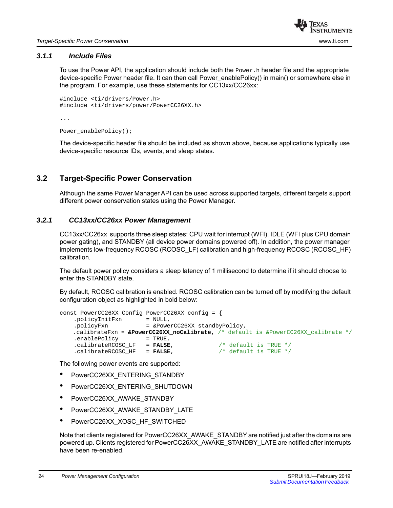#### <span id="page-23-0"></span>*3.1.1 Include Files*

To use the Power API, the application should include both the  $Power.h$  header file and the appropriate device-specific Power header file. It can then call Power\_enablePolicy() in main() or somewhere else in the program. For example, use these statements for CC13xx/CC26xx:

```
#include <ti/drivers/Power.h>
#include <ti/drivers/power/PowerCC26XX.h>
```
...

Power\_enablePolicy();

The device-specific header file should be included as shown above, because applications typically use device-specific resource IDs, events, and sleep states.

# <span id="page-23-1"></span>**3.2 Target-Specific Power Conservation**

Although the same Power Manager API can be used across supported targets, different targets support different power conservation states using the Power Manager.

#### <span id="page-23-2"></span>*3.2.1 CC13xx/CC26xx Power Management*

CC13xx/CC26xx supports three sleep states: CPU wait for interrupt (WFI), IDLE (WFI plus CPU domain power gating), and STANDBY (all device power domains powered off). In addition, the power manager implements low-frequency RCOSC (RCOSC\_LF) calibration and high-frequency RCOSC (RCOSC\_HF) calibration.

The default power policy considers a sleep latency of 1 millisecond to determine if it should choose to enter the STANDBY state.

By default, RCOSC calibration is enabled. RCOSC calibration can be turned off by modifying the default configuration object as highlighted in bold below:

```
const PowerCC26XX_Config PowerCC26XX_config = {
     .policyInitFxn = NULL,
     .policyFxn = &PowerCC26XX_standbyPolicy,
     .calibrateFxn = &PowerCC26XX_noCalibrate, /* default is &PowerCC26XX_calibrate */
    .enablePolicy = TRUE,<br>.calibrateRCOSC LF = FALSE,
     .calibrateRCOSC_LF = FALSE, /* default is TRUE */
    \text{.calibrateRCOSC\_HF} = FALSE, \overline{\hspace{1cm}} /* default is TRUE */
```
The following power events are supported:

- PowerCC26XX\_ENTERING\_STANDBY
- PowerCC26XX\_ENTERING\_SHUTDOWN
- PowerCC26XX\_AWAKE\_STANDBY
- PowerCC26XX AWAKE STANDBY LATE
- PowerCC26XX\_XOSC\_HF\_SWITCHED

Note that clients registered for PowerCC26XX\_AWAKE\_STANDBY are notified just after the domains are powered up. Clients registered for PowerCC26XX\_AWAKE\_STANDBY\_LATE are notified after interrupts have been re-enabled.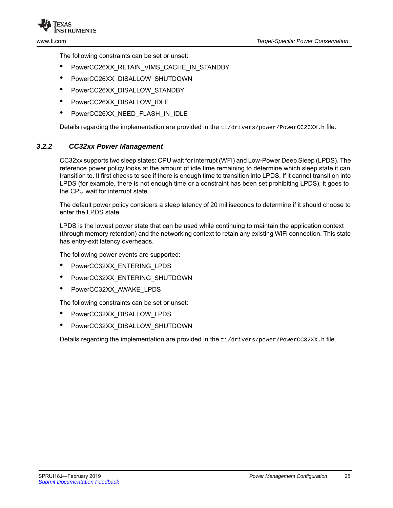

The following constraints can be set or unset:

- PowerCC26XX\_RETAIN\_VIMS\_CACHE\_IN\_STANDBY
- PowerCC26XX\_DISALLOW\_SHUTDOWN
- PowerCC26XX\_DISALLOW\_STANDBY
- PowerCC26XX\_DISALLOW\_IDLE
- PowerCC26XX\_NEED\_FLASH\_IN\_IDLE

Details regarding the implementation are provided in the ti/drivers/power/PowerCC26XX.h file.

#### <span id="page-24-0"></span>*3.2.2 CC32xx Power Management*

CC32xx supports two sleep states: CPU wait for interrupt (WFI) and Low-Power Deep Sleep (LPDS). The reference power policy looks at the amount of idle time remaining to determine which sleep state it can transition to. It first checks to see if there is enough time to transition into LPDS. If it cannot transition into LPDS (for example, there is not enough time or a constraint has been set prohibiting LPDS), it goes to the CPU wait for interrupt state.

The default power policy considers a sleep latency of 20 milliseconds to determine if it should choose to enter the LPDS state.

LPDS is the lowest power state that can be used while continuing to maintain the application context (through memory retention) and the networking context to retain any existing WiFi connection. This state has entry-exit latency overheads.

The following power events are supported:

- PowerCC32XX\_ENTERING\_LPDS
- PowerCC32XX\_ENTERING\_SHUTDOWN
- PowerCC32XX\_AWAKE\_LPDS

The following constraints can be set or unset:

- PowerCC32XX\_DISALLOW\_LPDS
- PowerCC32XX\_DISALLOW\_SHUTDOWN

Details regarding the implementation are provided in the  $ti/drivers/power/PowerC32XX.h$  file.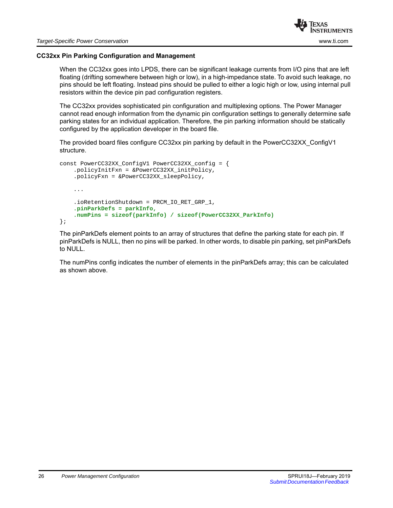#### **CC32xx Pin Parking Configuration and Management**

When the CC32xx goes into LPDS, there can be significant leakage currents from I/O pins that are left floating (drifting somewhere between high or low), in a high-impedance state. To avoid such leakage, no pins should be left floating. Instead pins should be pulled to either a logic high or low, using internal pull resistors within the device pin pad configuration registers.

The CC32xx provides sophisticated pin configuration and multiplexing options. The Power Manager cannot read enough information from the dynamic pin configuration settings to generally determine safe parking states for an individual application. Therefore, the pin parking information should be statically configured by the application developer in the board file.

The provided board files configure CC32xx pin parking by default in the PowerCC32XX\_ConfigV1 structure.

```
const PowerCC32XX_ConfigV1 PowerCC32XX_config = {
     .policyInitFxn = &PowerCC32XX_initPolicy,
     .policyFxn = &PowerCC32XX_sleepPolicy,
     ...
     .ioRetentionShutdown = PRCM_IO_RET_GRP_1,
     .pinParkDefs = parkInfo,
     .numPins = sizeof(parkInfo) / sizeof(PowerCC32XX_ParkInfo)
};
```
The pinParkDefs element points to an array of structures that define the parking state for each pin. If pinParkDefs is NULL, then no pins will be parked. In other words, to disable pin parking, set pinParkDefs to NULL.

The numPins config indicates the number of elements in the pinParkDefs array; this can be calculated as shown above.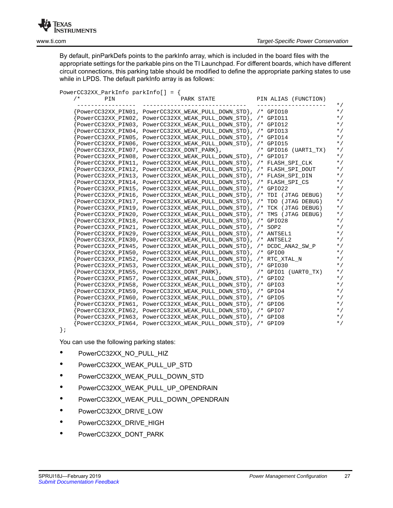

By default, pinParkDefs points to the parkInfo array, which is included in the board files with the appropriate settings for the parkable pins on the TI Launchpad. For different boards, which have different circuit connections, this parking table should be modified to define the appropriate parking states to use while in LPDS. The default parkInfo array is as follows:

| $PowerCC32XX_ParkInfo\ parkInfo[] = \{$ |                                                                                |
|-----------------------------------------|--------------------------------------------------------------------------------|
| $/$ *<br>PIN                            | PIN ALIAS (FUNCTION)<br>PARK STATE                                             |
|                                         | PowerCC32XX_PIN01, PowerCC32XX_WEAK_PULL_DOWN_STD}, /* GPIO10                  |
|                                         | PowerCC32XX_PIN02, PowerCC32XX_WEAK_PULL_DOWN_STD }, /* GPIO11                 |
|                                         | PowerCC32XX PIN03, PowerCC32XX WEAK PULL DOWN STD , /* GPIO12                  |
|                                         | PowerCC32XX_PIN04, PowerCC32XX_WEAK_PULL_DOWN_STD }, /* GPIO13                 |
|                                         | PowerCC32XX PIN05, PowerCC32XX WEAK PULL DOWN STD }, /* GPIO14                 |
|                                         | PowerCC32XX PIN06, PowerCC32XX WEAK PULL DOWN STD }, /* GPIO15                 |
|                                         | PowerCC32XX_PIN07, PowerCC32XX_DONT_PARK },<br>$/*$ GPIO16 (UART1 TX)          |
|                                         | PowerCC32XX_PIN08, PowerCC32XX_WEAK_PULL_DOWN_STD }, /* GPIO17                 |
|                                         | PowerCC32XX PIN11, PowerCC32XX WEAK PULL DOWN STD }, /* FLASH SPI_CLK          |
|                                         | PowerCC32XX_PIN12, PowerCC32XX_WEAK_PULL_DOWN_STD }, /* FLASH_SPI_DOUT         |
|                                         | PowerCC32XX PIN13, PowerCC32XX WEAK PULL DOWN STD }, /* FLASH SPI DIN          |
|                                         | PowerCC32XX_PIN14, PowerCC32XX_WEAK_PULL_DOWN_STD}, /* FLASH_SPI_CS            |
|                                         | PowerCC32XX_PIN15, PowerCC32XX_WEAK_PULL_DOWN_STD }, /* GPIO22                 |
|                                         | $/ * TDI$ (JTAG DEBUG)<br>PowerCC32XX PIN16, PowerCC32XX WEAK PULL DOWN STD    |
|                                         | , $/*$ TDO (JTAG DEBUG)<br>PowerCC32XX_PIN17, PowerCC32XX_WEAK_PULL_DOWN_STD } |
|                                         | PowerCC32XX PIN19, PowerCC32XX WEAK PULL DOWN STD<br>/* TCK (JTAG DEBUG)       |
|                                         | PowerCC32XX PIN20, PowerCC32XX WEAK PULL DOWN STD<br>/* TMS (JTAG DEBUG)       |
|                                         | PowerCC32XX PIN18, PowerCC32XX WEAK PULL DOWN STD<br>$/*$ GPIO28               |
|                                         | PowerCC32XX_PIN21, PowerCC32XX_WEAK_PULL_DOWN_STD}<br>$/*$ SOP2                |
|                                         | PowerCC32XX PIN29, PowerCC32XX WEAK PULL DOWN STD }, /* ANTSEL1                |
|                                         | PowerCC32XX_PIN30, PowerCC32XX_WEAK_PULL_DOWN_STD }, /* ANTSEL2                |
|                                         | PowerCC32XX_PIN45, PowerCC32XX_WEAK_PULL_DOWN_STD }, /* DCDC_ANA2_SW_P         |
|                                         | PowerCC32XX PIN50, PowerCC32XX WEAK PULL DOWN STD, /* GPIO0                    |
|                                         | PowerCC32XX_PIN52, PowerCC32XX_WEAK_PULL_DOWN_STD}, /* RTC_XTAL_N              |
|                                         | PowerCC32XX PIN53, PowerCC32XX WEAK PULL DOWN STD }, /* GPIO30                 |
|                                         | PowerCC32XX_PIN55, PowerCC32XX_DONT_PARK },<br>$/*$ GPIO1 (UART0 TX)           |
|                                         | PowerCC32XX_PIN57, PowerCC32XX_WEAK_PULL_DOWN_STD }, /* GPIO2                  |
|                                         | PowerCC32XX PIN58, PowerCC32XX WEAK PULL DOWN STD, /* GPIO3                    |
|                                         | PowerCC32XX PIN59, PowerCC32XX WEAK PULL DOWN STD }, /* GPIO4                  |
|                                         | PowerCC32XX_PIN60, PowerCC32XX_WEAK_PULL_DOWN_STD }, /* GPIO5                  |
|                                         | PowerCC32XX PIN61, PowerCC32XX WEAK PULL DOWN STD }, /* GPIO6                  |
|                                         | PowerCC32XX PIN62, PowerCC32XX WEAK PULL DOWN STD, /* GPIO7                    |
|                                         | PowerCC32XX PIN63, PowerCC32XX WEAK PULL DOWN STD $,$ /* GPIO8                 |
|                                         | {PowerCC32XX_PIN64, PowerCC32XX_WEAK_PULL_DOWN_STD}, /* GPIO9                  |

};

You can use the following parking states:

- PowerCC32XX\_NO\_PULL\_HIZ
- PowerCC32XX\_WEAK\_PULL\_UP\_STD
- PowerCC32XX\_WEAK\_PULL\_DOWN\_STD
- PowerCC32XX\_WEAK\_PULL\_UP\_OPENDRAIN
- PowerCC32XX\_WEAK\_PULL\_DOWN\_OPENDRAIN
- PowerCC32XX\_DRIVE\_LOW
- PowerCC32XX\_DRIVE\_HIGH
- PowerCC32XX\_DONT\_PARK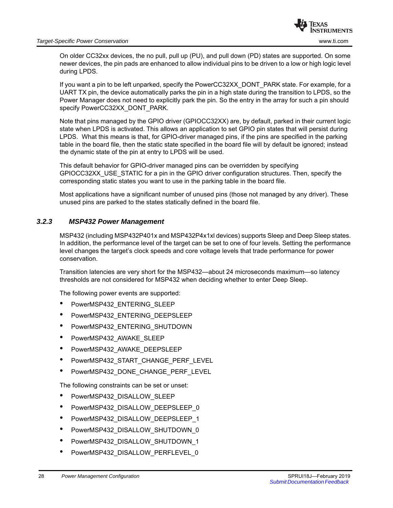On older CC32xx devices, the no pull, pull up (PU), and pull down (PD) states are supported. On some newer devices, the pin pads are enhanced to allow individual pins to be driven to a low or high logic level during LPDS.

If you want a pin to be left unparked, specify the PowerCC32XX\_DONT\_PARK state. For example, for a UART TX pin, the device automatically parks the pin in a high state during the transition to LPDS, so the Power Manager does not need to explicitly park the pin. So the entry in the array for such a pin should specify PowerCC32XX\_DONT\_PARK.

Note that pins managed by the GPIO driver (GPIOCC32XX) are, by default, parked in their current logic state when LPDS is activated. This allows an application to set GPIO pin states that will persist during LPDS. What this means is that, for GPIO-driver managed pins, if the pins are specified in the parking table in the board file, then the static state specified in the board file will by default be ignored; instead the dynamic state of the pin at entry to LPDS will be used.

This default behavior for GPIO-driver managed pins can be overridden by specifying GPIOCC32XX\_USE\_STATIC for a pin in the GPIO driver configuration structures. Then, specify the corresponding static states you want to use in the parking table in the board file.

Most applications have a significant number of unused pins (those not managed by any driver). These unused pins are parked to the states statically defined in the board file.

#### <span id="page-27-0"></span>*3.2.3 MSP432 Power Management*

MSP432 (including MSP432P401x and MSP432P4x1xl devices) supports Sleep and Deep Sleep states. In addition, the performance level of the target can be set to one of four levels. Setting the performance level changes the target's clock speeds and core voltage levels that trade performance for power conservation.

Transition latencies are very short for the MSP432—about 24 microseconds maximum—so latency thresholds are not considered for MSP432 when deciding whether to enter Deep Sleep.

The following power events are supported:

- PowerMSP432\_ENTERING\_SLEEP
- PowerMSP432\_ENTERING\_DEEPSLEEP
- PowerMSP432\_ENTERING\_SHUTDOWN
- PowerMSP432\_AWAKE\_SLEEP
- PowerMSP432\_AWAKE\_DEEPSLEEP
- PowerMSP432 START CHANGE PERF LEVEL
- PowerMSP432\_DONE\_CHANGE\_PERF\_LEVEL

The following constraints can be set or unset:

- PowerMSP432\_DISALLOW\_SLEEP
- PowerMSP432\_DISALLOW\_DEEPSLEEP\_0
- PowerMSP432\_DISALLOW\_DEEPSLEEP\_1
- PowerMSP432\_DISALLOW\_SHUTDOWN\_0
- PowerMSP432\_DISALLOW\_SHUTDOWN\_1
- PowerMSP432 DISALLOW PERFLEVEL 0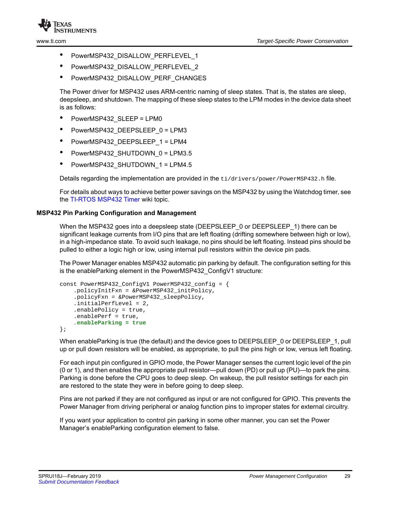

- PowerMSP432 DISALLOW PERFLEVEL 1
- PowerMSP432\_DISALLOW\_PERFLEVEL\_2
- PowerMSP432 DISALLOW PERF CHANGES

The Power driver for MSP432 uses ARM-centric naming of sleep states. That is, the states are sleep, deepsleep, and shutdown. The mapping of these sleep states to the LPM modes in the device data sheet is as follows:

- PowerMSP432 SLEEP = LPM0
- PowerMSP432\_DEEPSLEEP\_0 = LPM3
- PowerMSP432 DEEPSLEEP 1 = LPM4
- PowerMSP432 SHUTDOWN 0 = LPM3.5
- PowerMSP432\_SHUTDOWN\_1 = LPM4.5

Details regarding the implementation are provided in the ti/drivers/power/PowerMSP432.h file.

For details about ways to achieve better power savings on the MSP432 by using the Watchdog timer, see the [TI-RTOS MSP432 Timer](http://processors.wiki.ti.com/index.php/TI-RTOS_MSP432_Timer) wiki topic.

#### **MSP432 Pin Parking Configuration and Management**

When the MSP432 goes into a deepsleep state (DEEPSLEEP\_0 or DEEPSLEEP\_1) there can be significant leakage currents from I/O pins that are left floating (drifting somewhere between high or low), in a high-impedance state. To avoid such leakage, no pins should be left floating. Instead pins should be pulled to either a logic high or low, using internal pull resistors within the device pin pads.

The Power Manager enables MSP432 automatic pin parking by default. The configuration setting for this is the enableParking element in the PowerMSP432\_ConfigV1 structure:

```
const PowerMSP432_ConfigV1 PowerMSP432_config = {
     .policyInitFxn = &PowerMSP432_initPolicy,
     .policyFxn = &PowerMSP432_sleepPolicy,
     .initialPerfLevel = 2,
     .enablePolicy = true,
     .enablePerf = true,
     .enableParking = true
};
```
When enableParking is true (the default) and the device goes to DEEPSLEEP\_0 or DEEPSLEEP\_1, pull up or pull down resistors will be enabled, as appropriate, to pull the pins high or low, versus left floating.

For each input pin configured in GPIO mode, the Power Manager senses the current logic level of the pin (0 or 1), and then enables the appropriate pull resistor—pull down (PD) or pull up (PU)—to park the pins. Parking is done before the CPU goes to deep sleep. On wakeup, the pull resistor settings for each pin are restored to the state they were in before going to deep sleep.

Pins are not parked if they are not configured as input or are not configured for GPIO. This prevents the Power Manager from driving peripheral or analog function pins to improper states for external circuitry.

If you want your application to control pin parking in some other manner, you can set the Power Manager's enableParking configuration element to false.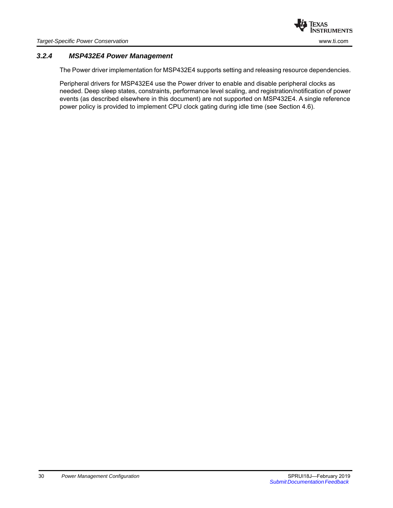#### <span id="page-29-0"></span>*3.2.4 MSP432E4 Power Management*

The Power driver implementation for MSP432E4 supports setting and releasing resource dependencies.

Peripheral drivers for MSP432E4 use the Power driver to enable and disable peripheral clocks as needed. Deep sleep states, constraints, performance level scaling, and registration/notification of power events (as described elsewhere in this document) are not supported on MSP432E4. A single reference power policy is provided to implement CPU clock gating during idle time (see [Section 4.6\)](#page-45-1).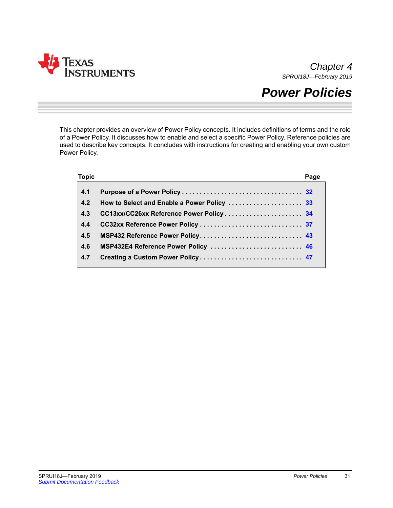<span id="page-30-0"></span>

<span id="page-30-1"></span>*Chapter 4 SPRUI18J—February 2019*

# *Power Policies*

This chapter provides an overview of Power Policy concepts. It includes definitions of terms and the role of a Power Policy. It discusses how to enable and select a specific Power Policy. Reference policies are used to describe key concepts. It concludes with instructions for creating and enabling your own custom Power Policy.

| <b>Topic</b> |                                     | Page |
|--------------|-------------------------------------|------|
| 4.1          |                                     |      |
| 4.2          |                                     |      |
| 4.3          |                                     |      |
| 4.4          |                                     |      |
| 4.5          | MSP432 Reference Power Policy 43    |      |
| 4.6          | MSP432E4 Reference Power Policy  46 |      |
| 4.7          |                                     |      |
|              |                                     |      |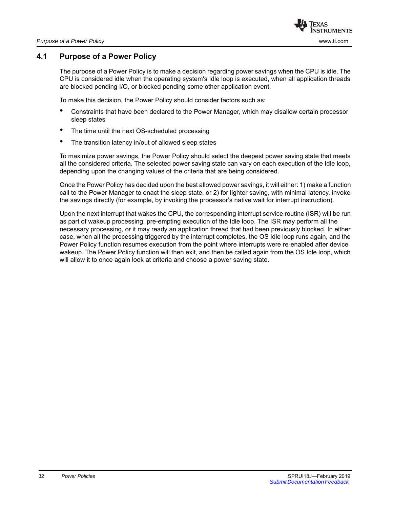### <span id="page-31-0"></span>**4.1 Purpose of a Power Policy**

The purpose of a Power Policy is to make a decision regarding power savings when the CPU is idle. The CPU is considered idle when the operating system's Idle loop is executed, when all application threads are blocked pending I/O, or blocked pending some other application event.

To make this decision, the Power Policy should consider factors such as:

- Constraints that have been declared to the Power Manager, which may disallow certain processor sleep states
- The time until the next OS-scheduled processing
- The transition latency in/out of allowed sleep states

To maximize power savings, the Power Policy should select the deepest power saving state that meets all the considered criteria. The selected power saving state can vary on each execution of the Idle loop, depending upon the changing values of the criteria that are being considered.

Once the Power Policy has decided upon the best allowed power savings, it will either: 1) make a function call to the Power Manager to enact the sleep state, or 2) for lighter saving, with minimal latency, invoke the savings directly (for example, by invoking the processor's native wait for interrupt instruction).

Upon the next interrupt that wakes the CPU, the corresponding interrupt service routine (ISR) will be run as part of wakeup processing, pre-empting execution of the Idle loop. The ISR may perform all the necessary processing, or it may ready an application thread that had been previously blocked. In either case, when all the processing triggered by the interrupt completes, the OS Idle loop runs again, and the Power Policy function resumes execution from the point where interrupts were re-enabled after device wakeup. The Power Policy function will then exit, and then be called again from the OS Idle loop, which will allow it to once again look at criteria and choose a power saving state.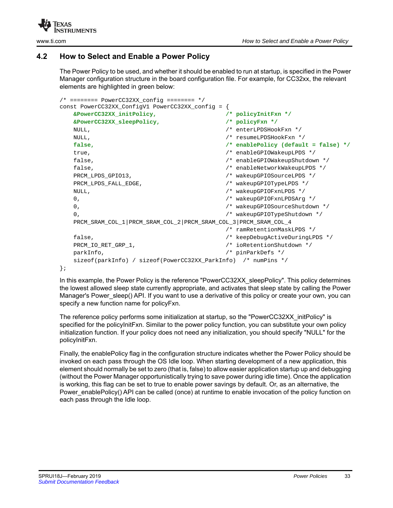

# <span id="page-32-0"></span>**4.2 How to Select and Enable a Power Policy**

<span id="page-32-1"></span>The Power Policy to be used, and whether it should be enabled to run at startup, is specified in the Power Manager configuration structure in the board configuration file. For example, for CC32xx, the relevant elements are highlighted in green below:

```
/* ======== PowerCC32XX config ======== */
const PowerCC32XX_ConfigV1 PowerCC32XX_config = {
   &PowerCC32XX_initPolicy, /* policyInitFxn */
   &PowerCC32XX_sleepPolicy, /* policyFxn */
   NULL, /* enterLPDSHookFxn */
   NULL, /* resumeLPDSHookFxn */
   false, /* enablePolicy (default = false) */
   true, /* enableGPIOWakeupLPDS */
   false, /* enableGPIOWakeupShutdown */
   false, /* enableNetworkWakeupLPDS */
  PRCM_LPDS_GPIO13, \overline{\phantom{a}} /* wakeupGPIOSourceLPDS */
  PRCM_LPDS_FALL_EDGE, \frac{1}{2} /* wakeupGPIOTypeLPDS */
   NULL, /* wakeupGPIOFxnLPDS */
   0, /* wakeupGPIOFxnLPDSArg */
   0, /* wakeupGPIOSourceShutdown */
  0, \frac{1}{2} /* wakeupGPIOTypeShutdown */
  PRCM_SRAM_COL_1|PRCM_SRAM_COL_2|PRCM_SRAM_COL_3|PRCM_SRAM_COL_4
                                   /* ramRetentionMaskLPDS */
   false, /* keepDebugActiveDuringLPDS */
  PRCM_IO_RET_GRP_1, \frac{1}{2} /* ioRetentionShutdown */
  parkInfo, \frac{1}{2} parkInfo, \frac{1}{2} pinParkDefs \frac{1}{2} /* pinParkDefs \frac{1}{2} /*
   sizeof(parkInfo) / sizeof(PowerCC32XX_ParkInfo) /* numPins */
};
```
In this example, the Power Policy is the reference "PowerCC32XX\_sleepPolicy". This policy determines the lowest allowed sleep state currently appropriate, and activates that sleep state by calling the Power Manager's Power sleep() API. If you want to use a derivative of this policy or create your own, you can specify a new function name for policyFxn.

The reference policy performs some initialization at startup, so the "PowerCC32XX\_initPolicy" is specified for the policyInitFxn. Similar to the power policy function, you can substitute your own policy initialization function. If your policy does not need any initialization, you should specify "NULL" for the policyInitFxn.

Finally, the enablePolicy flag in the configuration structure indicates whether the Power Policy should be invoked on each pass through the OS Idle loop. When starting development of a new application, this element should normally be set to zero (that is, false) to allow easier application startup up and debugging (without the Power Manager opportunistically trying to save power during idle time). Once the application is working, this flag can be set to true to enable power savings by default. Or, as an alternative, the Power\_enablePolicy() API can be called (once) at runtime to enable invocation of the policy function on each pass through the Idle loop.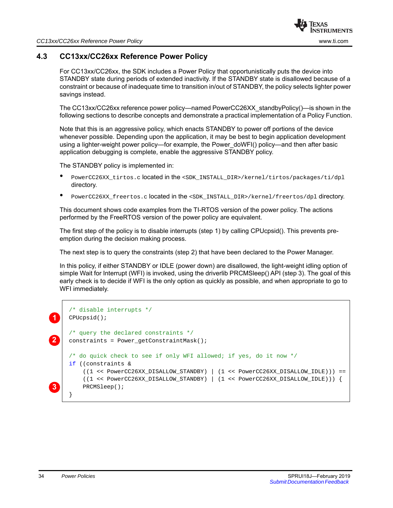# <span id="page-33-0"></span>**4.3 CC13xx/CC26xx Reference Power Policy**

For CC13xx/CC26xx, the SDK includes a Power Policy that opportunistically puts the device into STANDBY state during periods of extended inactivity. If the STANDBY state is disallowed because of a constraint or because of inadequate time to transition in/out of STANDBY, the policy selects lighter power savings instead.

The CC13xx/CC26xx reference power policy—named PowerCC26XX\_standbyPolicy()—is shown in the following sections to describe concepts and demonstrate a practical implementation of a Policy Function.

Note that this is an aggressive policy, which enacts STANDBY to power off portions of the device whenever possible. Depending upon the application, it may be best to begin application development using a lighter-weight power policy—for example, the Power\_doWFI() policy—and then after basic application debugging is complete, enable the aggressive STANDBY policy.

The STANDBY policy is implemented in:

- PowerCC26XX\_tirtos.c located in the <SDK\_INSTALL\_DIR>/kernel/tirtos/packages/ti/dpl directory.
- PowerCC26XX\_freertos.c located in the <SDK\_INSTALL\_DIR>/kernel/freertos/dpl directory.

This document shows code examples from the TI-RTOS version of the power policy. The actions performed by the FreeRTOS version of the power policy are equivalent.

The first step of the policy is to disable interrupts (step 1) by calling CPUcpsid(). This prevents preemption during the decision making process.

The next step is to query the constraints (step 2) that have been declared to the Power Manager.

In this policy, if either STANDBY or IDLE (power down) are disallowed, the light-weight idling option of simple Wait for Interrupt (WFI) is invoked, using the driverlib PRCMSleep() API (step 3). The goal of this early check is to decide if WFI is the only option as quickly as possible, and when appropriate to go to WFI immediately.

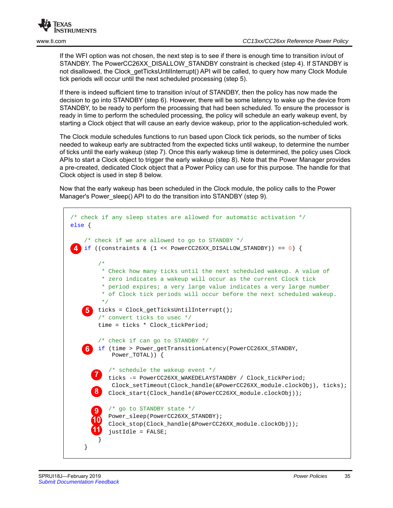

If the WFI option was not chosen, the next step is to see if there is enough time to transition in/out of STANDBY. The PowerCC26XX\_DISALLOW\_STANDBY constraint is checked (step 4). If STANDBY is not disallowed, the Clock\_getTicksUntilInterrupt() API will be called, to query how many Clock Module tick periods will occur until the next scheduled processing (step 5).

If there is indeed sufficient time to transition in/out of STANDBY, then the policy has now made the decision to go into STANDBY (step 6). However, there will be some latency to wake up the device from STANDBY, to be ready to perform the processing that had been scheduled. To ensure the processor is ready in time to perform the scheduled processing, the policy will schedule an early wakeup event, by starting a Clock object that will cause an early device wakeup, prior to the application-scheduled work.

The Clock module schedules functions to run based upon Clock tick periods, so the number of ticks needed to wakeup early are subtracted from the expected ticks until wakeup, to determine the number of ticks until the early wakeup (step 7). Once this early wakeup time is determined, the policy uses Clock APIs to start a Clock object to trigger the early wakeup (step 8). Note that the Power Manager provides a pre-created, dedicated Clock object that a Power Policy can use for this purpose. The handle for that Clock object is used in step 8 below.

Now that the early wakeup has been scheduled in the Clock module, the policy calls to the Power Manager's Power\_sleep() API to do the transition into STANDBY (step 9).

```
 /* check if any sleep states are allowed for automatic activation */
  else {
       /* check if we are allowed to go to STANDBY */
     if ((constraints & (1 \leq PowerCC26XX_DISALLOW_STANDBY)) == 0) {
           /*
            * Check how many ticks until the next scheduled wakeup. A value of
            * zero indicates a wakeup will occur as the current Clock tick
            * period expires; a very large value indicates a very large number
            * of Clock tick periods will occur before the next scheduled wakeup.
 */
          ticks = Clock_getTicksUntilInterrupt();
           /* convert ticks to usec */
           time = ticks * Clock_tickPeriod;
           /* check if can go to STANDBY */
          if (time > Power_getTransitionLatency(PowerCC26XX_STANDBY, 
               Power_TOTAL)) {
              /* schedule the wakeup event */
             ticks -= PowerCC26XX WAKEDELAYSTANDBY / Clock tickPeriod;
              Clock setTimeout(Clock handle(&PowerCC26XX module.clockObj), ticks);
            Clock start(Clock handle(&PowerCC26XX module.clockObj));
              /* go to STANDBY state */
              Power_sleep(PowerCC26XX_STANDBY);
              Clock_stop(Clock_handle(&PowerCC26XX_module.clockObj));
              justIdle = FALSE;
\begin{array}{ccc} \end{array} }
   4
      5
         7
         8
      6
         9
        10
        11
```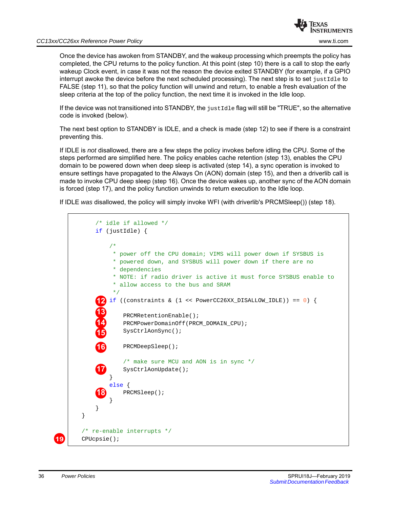

Once the device has awoken from STANDBY, and the wakeup processing which preempts the policy has completed, the CPU returns to the policy function. At this point (step 10) there is a call to stop the early wakeup Clock event, in case it was not the reason the device exited STANDBY (for example, if a GPIO interrupt awoke the device before the next scheduled processing). The next step is to set  $\mu$ ustIdle to FALSE (step 11), so that the policy function will unwind and return, to enable a fresh evaluation of the sleep criteria at the top of the policy function, the next time it is invoked in the Idle loop.

If the device was not transitioned into STANDBY, the  $justFile$  flag will still be "TRUE", so the alternative code is invoked (below).

The next best option to STANDBY is IDLE, and a check is made (step 12) to see if there is a constraint preventing this.

If IDLE is *not* disallowed, there are a few steps the policy invokes before idling the CPU. Some of the steps performed are simplified here. The policy enables cache retention (step 13), enables the CPU domain to be powered down when deep sleep is activated (step 14), a sync operation is invoked to ensure settings have propagated to the Always On (AON) domain (step 15), and then a driverlib call is made to invoke CPU deep sleep (step 16). Once the device wakes up, another sync of the AON domain is forced (step 17), and the policy function unwinds to return execution to the Idle loop.

If IDLE *was* disallowed, the policy will simply invoke WFI (with driverlib's PRCMSleep()) (step 18).

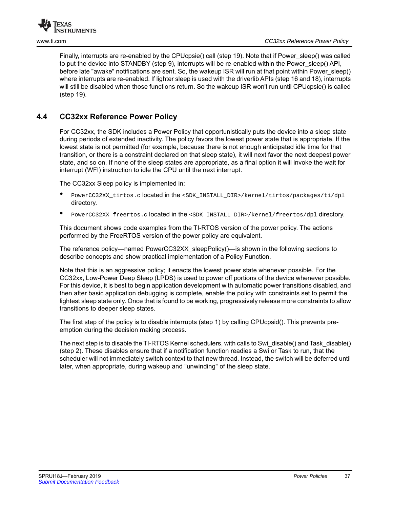

Finally, interrupts are re-enabled by the CPUcpsie() call (step 19). Note that if Power\_sleep() was called to put the device into STANDBY (step 9), interrupts will be re-enabled within the Power\_sleep() API, before late "awake" notifications are sent. So, the wakeup ISR will run at that point within Power\_sleep() where interrupts are re-enabled. If lighter sleep is used with the driverlib APIs (step 16 and 18), interrupts will still be disabled when those functions return. So the wakeup ISR won't run until CPUcpsie() is called (step 19).

# <span id="page-36-0"></span>**4.4 CC32xx Reference Power Policy**

<span id="page-36-1"></span>For CC32xx, the SDK includes a Power Policy that opportunistically puts the device into a sleep state during periods of extended inactivity. The policy favors the lowest power state that is appropriate. If the lowest state is not permitted (for example, because there is not enough anticipated idle time for that transition, or there is a constraint declared on that sleep state), it will next favor the next deepest power state, and so on. If none of the sleep states are appropriate, as a final option it will invoke the wait for interrupt (WFI) instruction to idle the CPU until the next interrupt.

The CC32xx Sleep policy is implemented in:

- PowerCC32XX\_tirtos.c **located in the** <SDK\_INSTALL\_DIR>/kernel/tirtos/packages/ti/dpl directory.
- PowerCC32XX\_freertos.c located in the <SDK\_INSTALL\_DIR>/kernel/freertos/dpl directory.

This document shows code examples from the TI-RTOS version of the power policy. The actions performed by the FreeRTOS version of the power policy are equivalent.

The reference policy—named PowerCC32XX sleepPolicy()—is shown in the following sections to describe concepts and show practical implementation of a Policy Function.

Note that this is an aggressive policy; it enacts the lowest power state whenever possible. For the CC32xx, Low-Power Deep Sleep (LPDS) is used to power off portions of the device whenever possible. For this device, it is best to begin application development with automatic power transitions disabled, and then after basic application debugging is complete, enable the policy with constraints set to permit the lightest sleep state only. Once that is found to be working, progressively release more constraints to allow transitions to deeper sleep states.

The first step of the policy is to disable interrupts (step 1) by calling CPUcpsid(). This prevents preemption during the decision making process.

The next step is to disable the TI-RTOS Kernel schedulers, with calls to Swi\_disable() and Task\_disable() (step 2). These disables ensure that if a notification function readies a Swi or Task to run, that the scheduler will not immediately switch context to that new thread. Instead, the switch will be deferred until later, when appropriate, during wakeup and "unwinding" of the sleep state.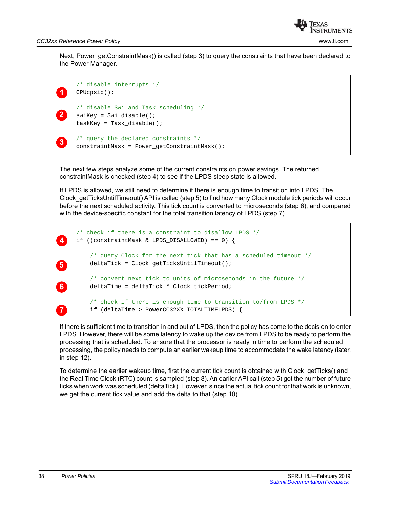

Next, Power\_getConstraintMask() is called (step 3) to query the constraints that have been declared to the Power Manager.



The next few steps analyze some of the current constraints on power savings. The returned constraintMask is checked (step 4) to see if the LPDS sleep state is allowed.

If LPDS is allowed, we still need to determine if there is enough time to transition into LPDS. The Clock\_getTicksUntilTimeout() API is called (step 5) to find how many Clock module tick periods will occur before the next scheduled activity. This tick count is converted to microseconds (step 6), and compared with the device-specific constant for the total transition latency of LPDS (step 7).

```
/* check if there is a constraint to disallow LPDS */
      if ((constraintMask & LPDS_DISALLOWED) == 0) {
          /* query Clock for the next tick that has a scheduled timeout */
          deltaTick = Clock_getTicksUntilTimeout();
          /* convert next tick to units of microseconds in the future */
          deltaTime = deltaTick * Clock_tickPeriod;
          /* check if there is enough time to transition to/from LPDS */
          if (deltaTime > PowerCC32XX_TOTALTIMELPDS) { 
4
5
6
7
```
If there is sufficient time to transition in and out of LPDS, then the policy has come to the decision to enter LPDS. However, there will be some latency to wake up the device from LPDS to be ready to perform the processing that is scheduled. To ensure that the processor is ready in time to perform the scheduled processing, the policy needs to compute an earlier wakeup time to accommodate the wake latency (later, in step 12).

To determine the earlier wakeup time, first the current tick count is obtained with Clock\_getTicks() and the Real Time Clock (RTC) count is sampled (step 8). An earlier API call (step 5) got the number of future ticks when work was scheduled (deltaTick). However, since the actual tick count for that work is unknown, we get the current tick value and add the delta to that (step 10).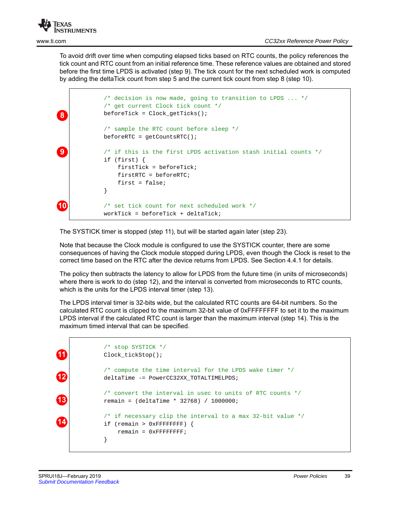

To avoid drift over time when computing elapsed ticks based on RTC counts, the policy references the tick count and RTC count from an initial reference time. These reference values are obtained and stored before the first time LPDS is activated (step 9). The tick count for the next scheduled work is computed by adding the deltaTick count from step 5 and the current tick count from step 8 (step 10).

| $\sqrt{8}$   | /* decision is now made, going to transition to LPDS $\ldots$ */<br>/* get current Clock tick count */<br>$beforeTick = Clock qetricks()$ ;                 |
|--------------|-------------------------------------------------------------------------------------------------------------------------------------------------------------|
|              | $/*$ sample the RTC count before sleep $*/$<br>$beforeRTC = getCountSRTC()$ ;                                                                               |
| $\mathbf{9}$ | /* if this is the first LPDS activation stash initial counts $*/$<br>if $(first)$<br>$firstTick = beforeTick;$<br>$firstRTC = beforeRTC$<br>$first = false$ |
|              | /* set tick count for next scheduled work */<br>workTick = beforeTick + deltaTick;                                                                          |

The SYSTICK timer is stopped (step 11), but will be started again later (step 23).

Note that because the Clock module is configured to use the SYSTICK counter, there are some consequences of having the Clock module stopped during LPDS, even though the Clock is reset to the correct time based on the RTC after the device returns from LPDS. See [Section 4.4.1](#page-41-0) for details.

The policy then subtracts the latency to allow for LPDS from the future time (in units of microseconds) where there is work to do (step 12), and the interval is converted from microseconds to RTC counts, which is the units for the LPDS interval timer (step 13).

The LPDS interval timer is 32-bits wide, but the calculated RTC counts are 64-bit numbers. So the calculated RTC count is clipped to the maximum 32-bit value of 0xFFFFFFFF to set it to the maximum LPDS interval if the calculated RTC count is larger than the maximum interval (step 14). This is the maximum timed interval that can be specified.

```
 /* stop SYSTICK */
                Clock_tickStop();
                /* compute the time interval for the LPDS wake timer */
                deltaTime -= PowerCC32XX_TOTALTIMELPDS;
                \frac{1}{\epsilon} convert the interval in usec to units of RTC counts \frac{1}{\epsilon} remain = (deltaTime * 32768) / 1000000;
                /* if necessary clip the interval to a max 32-bit value */
                if (remain > 0xFFFFFFFF) {
                     remain = 0xFFFFFFFF;
    \begin{array}{ccc} \end{array}12
13
14
11
```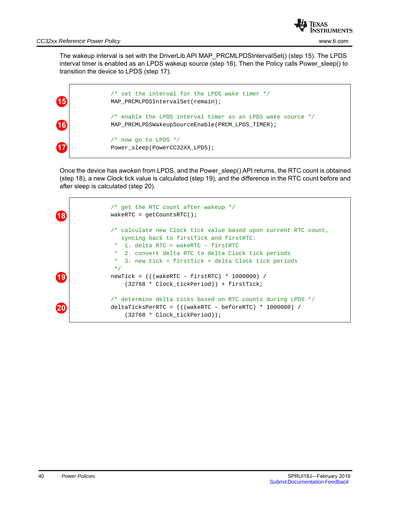

The wakeup interval is set with the DriverLib API MAP\_PRCMLPDSIntervalSet() (step 15). The LPDS interval timer is enabled as an LPDS wakeup source (step 16). Then the Policy calls Power\_sleep() to transition the device to LPDS (step 17).



Once the device has awoken from LPDS, and the Power\_sleep() API returns, the RTC count is obtained (step 18), a new Clock tick value is calculated (step 19), and the difference in the RTC count before and after sleep is calculated (step 20).

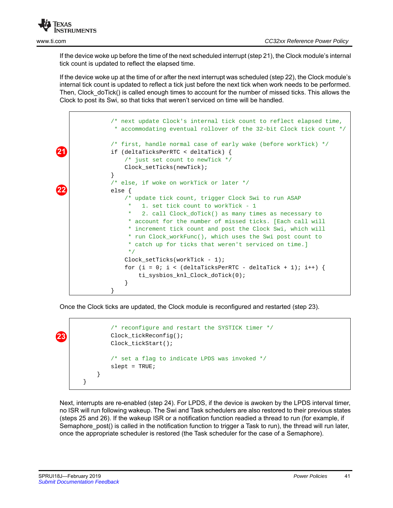

If the device woke up before the time of the next scheduled interrupt (step 21), the Clock module's internal tick count is updated to reflect the elapsed time.

If the device woke up at the time of or after the next interrupt was scheduled (step 22), the Clock module's internal tick count is updated to reflect a tick just before the next tick when work needs to be performed. Then, Clock doTick() is called enough times to account for the number of missed ticks. This allows the Clock to post its Swi, so that ticks that weren't serviced on time will be handled.

```
 /* next update Clock's internal tick count to reflect elapsed time,
                 * accommodating eventual rollover of the 32-bit Clock tick count */
                /* first, handle normal case of early wake (before workTick) */
                if (deltaTicksPerRTC < deltaTick) {
                    /* just set count to newTick */
                    Clock_setTicks(newTick);
    }
                /* else, if woke on workTick or later */
                else {
                    /* update tick count, trigger Clock Swi to run ASAP
                        1. set tick count to workTick - 1
                        2. call Clock_doTick() as many times as necessary to
                     * account for the number of missed ticks. [Each call will
                     * increment tick count and post the Clock Swi, which will
                     * run Clock_workFunc(), which uses the Swi post count to
                     * catch up for ticks that weren't serviced on time.]
   \star/
                    Clock_setTicks(workTick - 1);
                   for (i = 0; i < (deltaTicksPerRTC - deltaTick + 1); i++) {
                        ti_sysbios_knl_Clock_doTick(0);
   \begin{array}{ccc} \end{array} }
21
22
```
Once the Clock ticks are updated, the Clock module is reconfigured and restarted (step 23).



Next, interrupts are re-enabled (step 24). For LPDS, if the device is awoken by the LPDS interval timer, no ISR will run following wakeup. The Swi and Task schedulers are also restored to their previous states (steps 25 and 26). If the wakeup ISR or a notification function readied a thread to run (for example, if Semaphore\_post() is called in the notification function to trigger a Task to run), the thread will run later, once the appropriate scheduler is restored (the Task scheduler for the case of a Semaphore).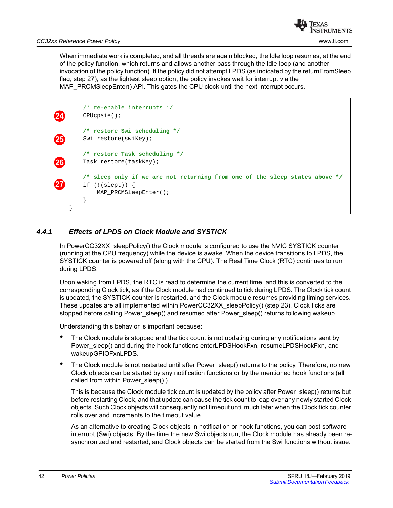

When immediate work is completed, and all threads are again blocked, the Idle loop resumes, at the end of the policy function, which returns and allows another pass through the Idle loop (and another invocation of the policy function). If the policy did not attempt LPDS (as indicated by the returnFromSleep flag, step 27), as the lightest sleep option, the policy invokes wait for interrupt via the MAP\_PRCMSleepEnter() API. This gates the CPU clock until the next interrupt occurs.



#### <span id="page-41-0"></span>*4.4.1 Effects of LPDS on Clock Module and SYSTICK*

In PowerCC32XX sleepPolicy() the Clock module is configured to use the NVIC SYSTICK counter (running at the CPU frequency) while the device is awake. When the device transitions to LPDS, the SYSTICK counter is powered off (along with the CPU). The Real Time Clock (RTC) continues to run during LPDS.

Upon waking from LPDS, the RTC is read to determine the current time, and this is converted to the corresponding Clock tick, as if the Clock module had continued to tick during LPDS. The Clock tick count is updated, the SYSTICK counter is restarted, and the Clock module resumes providing timing services. These updates are all implemented within PowerCC32XX\_sleepPolicy() (step 23). Clock ticks are stopped before calling Power\_sleep() and resumed after Power\_sleep() returns following wakeup.

Understanding this behavior is important because:

- The Clock module is stopped and the tick count is not updating during any notifications sent by Power\_sleep() and during the hook functions enterLPDSHookFxn, resumeLPDSHookFxn, and wakeupGPIOFxnLPDS.
- The Clock module is not restarted until after Power sleep() returns to the policy. Therefore, no new Clock objects can be started by any notification functions or by the mentioned hook functions (all called from within Power\_sleep() ).

This is because the Clock module tick count is updated by the policy after Power sleep() returns but before restarting Clock, and that update can cause the tick count to leap over any newly started Clock objects. Such Clock objects will consequently not timeout until much later when the Clock tick counter rolls over and increments to the timeout value.

As an alternative to creating Clock objects in notification or hook functions, you can post software interrupt (Swi) objects. By the time the new Swi objects run, the Clock module has already been resynchronized and restarted, and Clock objects can be started from the Swi functions without issue.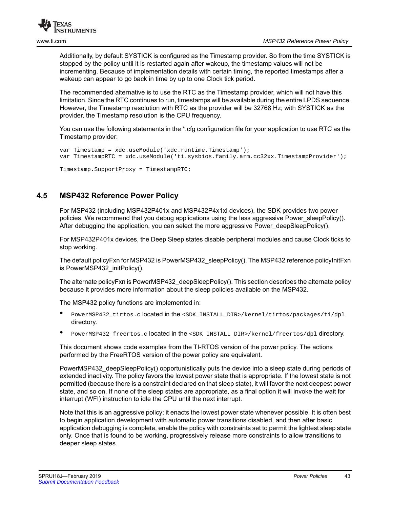

Additionally, by default SYSTICK is configured as the Timestamp provider. So from the time SYSTICK is stopped by the policy until it is restarted again after wakeup, the timestamp values will not be incrementing. Because of implementation details with certain timing, the reported timestamps after a wakeup can appear to go back in time by up to one Clock tick period.

The recommended alternative is to use the RTC as the Timestamp provider, which will not have this limitation. Since the RTC continues to run, timestamps will be available during the entire LPDS sequence. However, the Timestamp resolution with RTC as the provider will be 32768 Hz; with SYSTICK as the provider, the Timestamp resolution is the CPU frequency.

You can use the following statements in the \*.cfg configuration file for your application to use RTC as the Timestamp provider:

```
var Timestamp = xdc.useModule('xdc.runtime.Timestamp');
var TimestampRTC = xdc.useModule('ti.sysbios.family.arm.cc32xx.TimestampProvider');
```
<span id="page-42-1"></span>Timestamp.SupportProxy = TimestampRTC;

# <span id="page-42-0"></span>**4.5 MSP432 Reference Power Policy**

For MSP432 (including MSP432P401x and MSP432P4x1xl devices), the SDK provides two power policies. We recommend that you debug applications using the less aggressive Power sleepPolicy(). After debugging the application, you can select the more aggressive Power\_deepSleepPolicy().

For MSP432P401x devices, the Deep Sleep states disable peripheral modules and cause Clock ticks to stop working.

The default policyFxn for MSP432 is PowerMSP432\_sleepPolicy(). The MSP432 reference policyInitFxn is PowerMSP432\_initPolicy().

The alternate policyFxn is PowerMSP432\_deepSleepPolicy(). This section describes the alternate policy because it provides more information about the sleep policies available on the MSP432.

The MSP432 policy functions are implemented in:

- PowerMSP432\_tirtos.c located in the <SDK\_INSTALL\_DIR>/kernel/tirtos/packages/ti/dpl directory.
- PowerMSP432\_freertos.c located in the <SDK\_INSTALL\_DIR>/kernel/freertos/dpl directory.

This document shows code examples from the TI-RTOS version of the power policy. The actions performed by the FreeRTOS version of the power policy are equivalent.

PowerMSP432\_deepSleepPolicy() opportunistically puts the device into a sleep state during periods of extended inactivity. The policy favors the lowest power state that is appropriate. If the lowest state is not permitted (because there is a constraint declared on that sleep state), it will favor the next deepest power state, and so on. If none of the sleep states are appropriate, as a final option it will invoke the wait for interrupt (WFI) instruction to idle the CPU until the next interrupt.

Note that this is an aggressive policy; it enacts the lowest power state whenever possible. It is often best to begin application development with automatic power transitions disabled, and then after basic application debugging is complete, enable the policy with constraints set to permit the lightest sleep state only. Once that is found to be working, progressively release more constraints to allow transitions to deeper sleep states.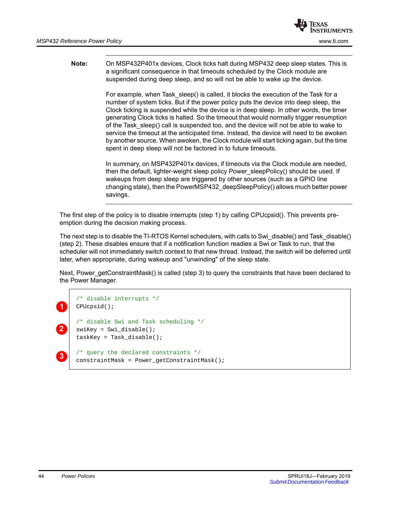

**Note:** On MSP432P401x devices, Clock ticks halt during MSP432 deep sleep states. This is a significant consequence in that timeouts scheduled by the Clock module are suspended during deep sleep, and so will not be able to wake up the device.

> For example, when Task sleep() is called, it blocks the execution of the Task for a number of system ticks. But if the power policy puts the device into deep sleep, the Clock ticking is suspended while the device is in deep sleep. In other words, the timer generating Clock ticks is halted. So the timeout that would normally trigger resumption of the Task\_sleep() call is suspended too, and the device will not be able to wake to service the timeout at the anticipated time. Instead, the device will need to be awoken by another source. When awoken, the Clock module will start ticking again, but the time spent in deep sleep will not be factored in to future timeouts.

> In summary, on MSP432P401x devices, if timeouts via the Clock module are needed, then the default, lighter-weight sleep policy Power\_sleepPolicy() should be used. If wakeups from deep sleep are triggered by other sources (such as a GPIO line changing state), then the PowerMSP432\_deepSleepPolicy() allows much better power savings.

The first step of the policy is to disable interrupts (step 1) by calling CPUcpsid(). This prevents preemption during the decision making process.

The next step is to disable the TI-RTOS Kernel schedulers, with calls to Swi\_disable() and Task\_disable() (step 2). These disables ensure that if a notification function readies a Swi or Task to run, that the scheduler will not immediately switch context to that new thread. Instead, the switch will be deferred until later, when appropriate, during wakeup and "unwinding" of the sleep state.

Next, Power\_getConstraintMask() is called (step 3) to query the constraints that have been declared to the Power Manager.

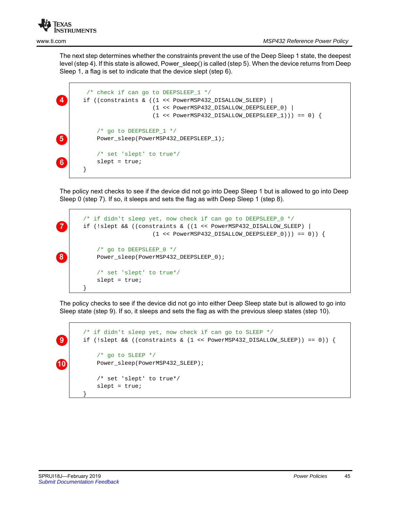

The next step determines whether the constraints prevent the use of the Deep Sleep 1 state, the deepest level (step 4). If this state is allowed, Power\_sleep() is called (step 5). When the device returns from Deep Sleep 1, a flag is set to indicate that the device slept (step 6).

```
 /* check if can go to DEEPSLEEP_1 */
        if ((constraints & ((1 << PowerMSP432_DISALLOW_SLEEP) |
                             (1 << PowerMSP432_DISALLOW_DEEPSLEEP_0) |
                            (1 \leq PowerMSP432_DISALLOW_DEEPSLEEP_1))) == 0) {
            /* go to DEEPSLEEP_1 */
           Power_sleep(PowerMSP432_DEEPSLEEP_1);
            /* set 'slept' to true*/
            slept = true;
        }
4
5
6
```
The policy next checks to see if the device did not go into Deep Sleep 1 but is allowed to go into Deep Sleep 0 (step 7). If so, it sleeps and sets the flag as with Deep Sleep 1 (step 8).

```
 /* if didn't sleep yet, now check if can go to DEEPSLEEP_0 */
        if (!slept && ((constraints & ((1 << PowerMSP432_DISALLOW_SLEEP) |
                              (1 \leq \text{PowerMSP432 DISALLOW DEEPSLEEP 0))) == 0)/* go to DEEPSLEEP 0 * / Power_sleep(PowerMSP432_DEEPSLEEP_0);
             /* set 'slept' to true*/
             slept = true;
   \begin{array}{ccc} \end{array}7
8
```
The policy checks to see if the device did not go into either Deep Sleep state but is allowed to go into Sleep state (step 9). If so, it sleeps and sets the flag as with the previous sleep states (step 10).

```
 /* if didn't sleep yet, now check if can go to SLEEP */
        if (!slept &&&&\\ ((constraints &&(1 << PowerMSP432_DISALLOW_SLEEP)) == 0)) {
              /* go to SLEEP */
             Power_sleep(PowerMSP432_SLEEP);
              /* set 'slept' to true*/
              slept = true;
   \begin{array}{ccc} \end{array}9
10
```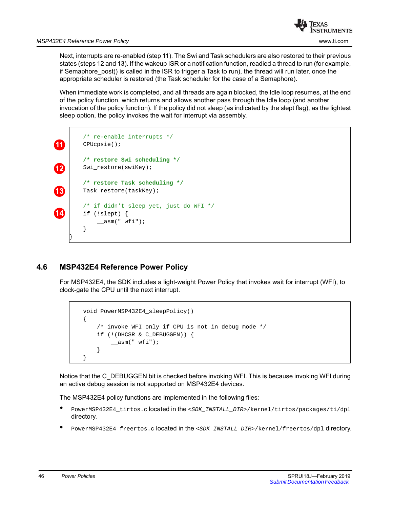Next, interrupts are re-enabled (step 11). The Swi and Task schedulers are also restored to their previous states (steps 12 and 13). If the wakeup ISR or a notification function, readied a thread to run (for example, if Semaphore\_post() is called in the ISR to trigger a Task to run), the thread will run later, once the appropriate scheduler is restored (the Task scheduler for the case of a Semaphore).

When immediate work is completed, and all threads are again blocked, the Idle loop resumes, at the end of the policy function, which returns and allows another pass through the Idle loop (and another invocation of the policy function). If the policy did not sleep (as indicated by the slept flag), as the lightest sleep option, the policy invokes the wait for interrupt via assembly.



# <span id="page-45-0"></span>**4.6 MSP432E4 Reference Power Policy**

<span id="page-45-1"></span>For MSP432E4, the SDK includes a light-weight Power Policy that invokes wait for interrupt (WFI), to clock-gate the CPU until the next interrupt.

```
 void PowerMSP432E4_sleepPolicy()
     {
          /* invoke WFI only if CPU is not in debug mode */
          if (!(DHCSR & C_DEBUGGEN)) {
              __asm(" wfi");
\begin{array}{ccc} \end{array} }
```
Notice that the C\_DEBUGGEN bit is checked before invoking WFI. This is because invoking WFI during an active debug session is not supported on MSP432E4 devices.

The MSP432E4 policy functions are implemented in the following files:

- PowerMSP432E4\_tirtos.c located in the <*SDK\_INSTALL\_DIR*>/kernel/tirtos/packages/ti/dpl directory.
- PowerMSP432E4\_freertos.c located in the <*SDK\_INSTALL\_DIR*>/kernel/freertos/dpl directory.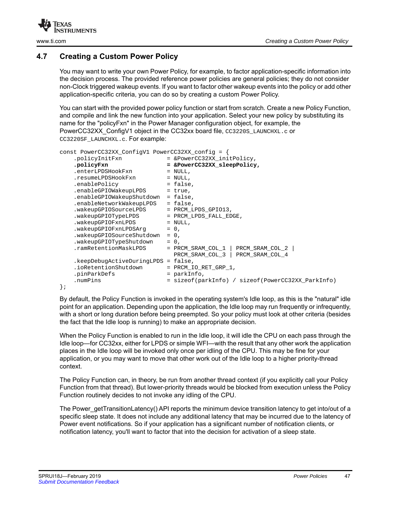



### <span id="page-46-0"></span>**4.7 Creating a Custom Power Policy**

You may want to write your own Power Policy, for example, to factor application-specific information into the decision process. The provided reference power policies are general policies; they do not consider non-Clock triggered wakeup events. If you want to factor other wakeup events into the policy or add other application-specific criteria, you can do so by creating a custom Power Policy.

You can start with the provided power policy function or start from scratch. Create a new Policy Function, and compile and link the new function into your application. Select your new policy by substituting its name for the "policyFxn" in the Power Manager configuration object, for example, the PowerCC32XX ConfigV1 object in the CC32xx board file, CC3220S\_LAUNCHXL.c or CC3220SF\_LAUNCHXL.c. For example:

```
const PowerCC32XX_ConfigV1 PowerCC32XX_config = {
     .policyInitFxn = &PowerCC32XX_initPolicy,
     .policyFxn = &PowerCC32XX_sleepPolicy,
   .enterLPDSHookFxn = NULL,<br>.resumeLPDSHookFxn = NULL,
    .resumeLPDSHookFxn
    .enablePolicy = false,
    .enableGPIOWakeupLPDS = true,
     .enableGPIOWakeupShutdown = false,
     .enableNetworkWakeupLPDS = false,
 .wakeupGPIOSourceLPDS = PRCM_LPDS_GPIO13,
 .wakeupGPIOTypeLPDS = PRCM_LPDS_FALL_EDGE,
    .wakeupGPIOTypeLPDS = PRCM_<br>.wakeupGPIOFxnLPDS = NULL,<br>.wakeupGPIOFxnLPDSArq = 0,
    .wakeupGPIOFxnLPDSArg
     .wakeupGPIOSourceShutdown = 0,
    .wakeupGPIOTypeShutdown = 0,
     .ramRetentionMaskLPDS = PRCM_SRAM_COL_1 | PRCM_SRAM_COL_2 |
                                 PRCM_SRAM_COL_3 | PRCM_SRAM_COL_4
     .keepDebugActiveDuringLPDS = false,
    ioRetentionShutdown = PRCM_IO_RET_GRP_1,<br>
pinParkDefs = parkInfo,
    .pinParkDefs
     .numPins = sizeof(parkInfo) / sizeof(PowerCC32XX_ParkInfo)
};
```
By default, the Policy Function is invoked in the operating system's Idle loop, as this is the "natural" idle point for an application. Depending upon the application, the Idle loop may run frequently or infrequently, with a short or long duration before being preempted. So your policy must look at other criteria (besides the fact that the Idle loop is running) to make an appropriate decision.

When the Policy Function is enabled to run in the Idle loop, it will idle the CPU on each pass through the Idle loop—for CC32xx, either for LPDS or simple WFI—with the result that any other work the application places in the Idle loop will be invoked only once per idling of the CPU. This may be fine for your application, or you may want to move that other work out of the Idle loop to a higher priority-thread context.

The Policy Function can, in theory, be run from another thread context (if you explicitly call your Policy Function from that thread). But lower-priority threads would be blocked from execution unless the Policy Function routinely decides to not invoke any idling of the CPU.

The Power\_getTransitionLatency() API reports the minimum device transition latency to get into/out of a specific sleep state. It does not include any additional latency that may be incurred due to the latency of Power event notifications. So if your application has a significant number of notification clients, or notification latency, you'll want to factor that into the decision for activation of a sleep state.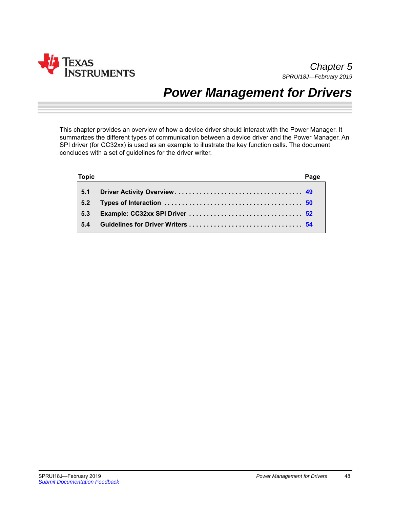<span id="page-47-0"></span>

# <span id="page-47-1"></span>*Power Management for Drivers*

This chapter provides an overview of how a device driver should interact with the Power Manager. It summarizes the different types of communication between a device driver and the Power Manager. An SPI driver (for CC32xx) is used as an example to illustrate the key function calls. The document concludes with a set of guidelines for the driver writer.

| <b>Topic</b> | Page |
|--------------|------|
|              |      |
|              |      |
| 5.3          |      |
| 5.4          |      |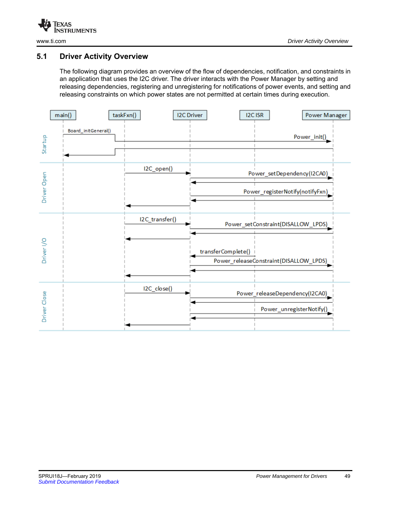

### <span id="page-48-0"></span>**5.1 Driver Activity Overview**

The following diagram provides an overview of the flow of dependencies, notification, and constraints in an application that uses the I2C driver. The driver interacts with the Power Manager by setting and releasing dependencies, registering and unregistering for notifications of power events, and setting and releasing constraints on which power states are not permitted at certain times during execution.

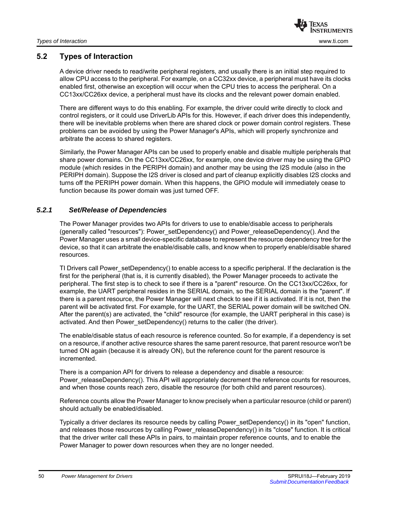

# <span id="page-49-0"></span>**5.2 Types of Interaction**

A device driver needs to read/write peripheral registers, and usually there is an initial step required to allow CPU access to the peripheral. For example, on a CC32xx device, a peripheral must have its clocks enabled first, otherwise an exception will occur when the CPU tries to access the peripheral. On a CC13xx/CC26xx device, a peripheral must have its clocks and the relevant power domain enabled.

There are different ways to do this enabling. For example, the driver could write directly to clock and control registers, or it could use DriverLib APIs for this. However, if each driver does this independently, there will be inevitable problems when there are shared clock or power domain control registers. These problems can be avoided by using the Power Manager's APIs, which will properly synchronize and arbitrate the access to shared registers.

Similarly, the Power Manager APIs can be used to properly enable and disable multiple peripherals that share power domains. On the CC13xx/CC26xx, for example, one device driver may be using the GPIO module (which resides in the PERIPH domain) and another may be using the I2S module (also in the PERIPH domain). Suppose the I2S driver is closed and part of cleanup explicitly disables I2S clocks and turns off the PERIPH power domain. When this happens, the GPIO module will immediately cease to function because its power domain was just turned OFF.

#### <span id="page-49-1"></span>*5.2.1 Set/Release of Dependencies*

<span id="page-49-2"></span>The Power Manager provides two APIs for drivers to use to enable/disable access to peripherals (generally called "resources"): Power\_setDependency() and Power\_releaseDependency(). And the Power Manager uses a small device-specific database to represent the resource dependency tree for the device, so that it can arbitrate the enable/disable calls, and know when to properly enable/disable shared resources.

TI Drivers call Power\_setDependency() to enable access to a specific peripheral. If the declaration is the first for the peripheral (that is, it is currently disabled), the Power Manager proceeds to activate the peripheral. The first step is to check to see if there is a "parent" resource. On the CC13xx/CC26xx, for example, the UART peripheral resides in the SERIAL domain, so the SERIAL domain is the "parent". If there is a parent resource, the Power Manager will next check to see if it is activated. If it is not, then the parent will be activated first. For example, for the UART, the SERIAL power domain will be switched ON. After the parent(s) are activated, the "child" resource (for example, the UART peripheral in this case) is activated. And then Power setDependency() returns to the caller (the driver).

The enable/disable status of each resource is reference counted. So for example, if a dependency is set on a resource, if another active resource shares the same parent resource, that parent resource won't be turned ON again (because it is already ON), but the reference count for the parent resource is incremented.

There is a companion API for drivers to release a dependency and disable a resource: Power\_releaseDependency(). This API will appropriately decrement the reference counts for resources, and when those counts reach zero, disable the resource (for both child and parent resources).

Reference counts allow the Power Manager to know precisely when a particular resource (child or parent) should actually be enabled/disabled.

Typically a driver declares its resource needs by calling Power\_setDependency() in its "open" function, and releases those resources by calling Power\_releaseDependency() in its "close" function. It is critical that the driver writer call these APIs in pairs, to maintain proper reference counts, and to enable the Power Manager to power down resources when they are no longer needed.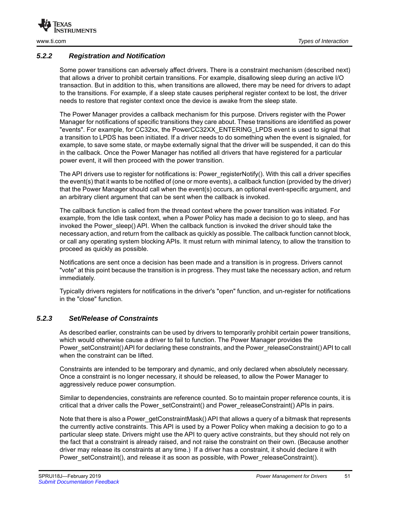

#### <span id="page-50-0"></span>*5.2.2 Registration and Notification*

<span id="page-50-3"></span>Some power transitions can adversely affect drivers. There is a constraint mechanism (described next) that allows a driver to prohibit certain transitions. For example, disallowing sleep during an active I/O transaction. But in addition to this, when transitions are allowed, there may be need for drivers to adapt to the transitions. For example, if a sleep state causes peripheral register context to be lost, the driver needs to restore that register context once the device is awake from the sleep state.

The Power Manager provides a callback mechanism for this purpose. Drivers register with the Power Manager for notifications of specific transitions they care about. These transitions are identified as power "events". For example, for CC32xx, the PowerCC32XX\_ENTERING\_LPDS event is used to signal that a transition to LPDS has been initiated. If a driver needs to do something when the event is signaled, for example, to save some state, or maybe externally signal that the driver will be suspended, it can do this in the callback. Once the Power Manager has notified all drivers that have registered for a particular power event, it will then proceed with the power transition.

The API drivers use to register for notifications is: Power registerNotify(). With this call a driver specifies the event(s) that it wants to be notified of (one or more events), a callback function (provided by the driver) that the Power Manager should call when the event(s) occurs, an optional event-specific argument, and an arbitrary client argument that can be sent when the callback is invoked.

The callback function is called from the thread context where the power transition was initiated. For example, from the Idle task context, when a Power Policy has made a decision to go to sleep, and has invoked the Power\_sleep() API. When the callback function is invoked the driver should take the necessary action, and return from the callback as quickly as possible. The callback function cannot block, or call any operating system blocking APIs. It must return with minimal latency, to allow the transition to proceed as quickly as possible.

Notifications are sent once a decision has been made and a transition is in progress. Drivers cannot "vote" at this point because the transition is in progress. They must take the necessary action, and return immediately.

Typically drivers registers for notifications in the driver's "open" function, and un-register for notifications in the "close" function.

#### <span id="page-50-1"></span>*5.2.3 Set/Release of Constraints*

<span id="page-50-2"></span>As described earlier, constraints can be used by drivers to temporarily prohibit certain power transitions, which would otherwise cause a driver to fail to function. The Power Manager provides the Power\_setConstraint() API for declaring these constraints, and the Power\_releaseConstraint() API to call when the constraint can be lifted.

Constraints are intended to be temporary and dynamic, and only declared when absolutely necessary. Once a constraint is no longer necessary, it should be released, to allow the Power Manager to aggressively reduce power consumption.

Similar to dependencies, constraints are reference counted. So to maintain proper reference counts, it is critical that a driver calls the Power\_setConstraint() and Power\_releaseConstraint() APIs in pairs.

Note that there is also a Power\_getConstraintMask() API that allows a query of a bitmask that represents the currently active constraints. This API is used by a Power Policy when making a decision to go to a particular sleep state. Drivers might use the API to query active constraints, but they should not rely on the fact that a constraint is already raised, and not raise the constraint on their own. (Because another driver may release its constraints at any time.) If a driver has a constraint, it should declare it with Power\_setConstraint(), and release it as soon as possible, with Power\_releaseConstraint().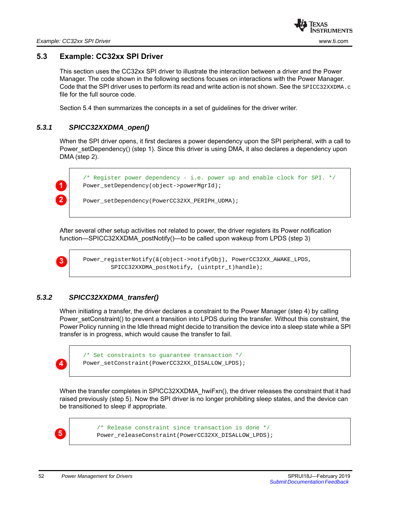# <span id="page-51-0"></span>**5.3 Example: CC32xx SPI Driver**

This section uses the CC32xx SPI driver to illustrate the interaction between a driver and the Power Manager. The code shown in the following sections focuses on interactions with the Power Manager. Code that the SPI driver uses to perform its read and write action is not shown. See the SPICC32XXDMA.c file for the full source code.

<span id="page-51-3"></span>[Section 5.4](#page-53-0) then summarizes the concepts in a set of guidelines for the driver writer.

#### <span id="page-51-1"></span>*5.3.1 SPICC32XXDMA\_open()*

When the SPI driver opens, it first declares a power dependency upon the SPI peripheral, with a call to Power\_setDependency() (step 1). Since this driver is using DMA, it also declares a dependency upon DMA (step 2).



 /\* Register power dependency - i.e. power up and enable clock for SPI. \*/ Power\_setDependency(object->powerMgrId);

Power\_setDependency(PowerCC32XX\_PERIPH\_UDMA);

After several other setup activities not related to power, the driver registers its Power notification function—SPICC32XXDMA\_postNotify()—to be called upon wakeup from LPDS (step 3)



Power\_registerNotify(&(object->notifyObj), PowerCC32XX\_AWAKE\_LPDS, SPICC32XXDMA\_postNotify, (uintptr\_t)handle);

### <span id="page-51-2"></span>*5.3.2 SPICC32XXDMA\_transfer()*

<span id="page-51-4"></span>When initiating a transfer, the driver declares a constraint to the Power Manager (step 4) by calling Power\_setConstraint() to prevent a transition into LPDS during the transfer. Without this constraint, the Power Policy running in the Idle thread might decide to transition the device into a sleep state while a SPI transfer is in progress, which would cause the transfer to fail.



When the transfer completes in SPICC32XXDMA\_hwiFxn(), the driver releases the constraint that it had raised previously (step 5). Now the SPI driver is no longer prohibiting sleep states, and the device can be transitioned to sleep if appropriate.

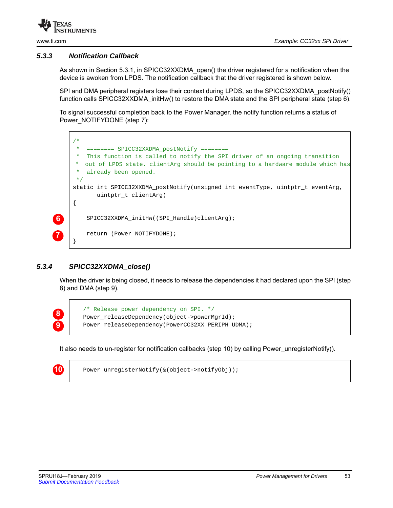



#### <span id="page-52-0"></span>*5.3.3 Notification Callback*

As shown in [Section 5.3.1,](#page-51-1) in SPICC32XXDMA\_open() the driver registered for a notification when the device is awoken from LPDS. The notification callback that the driver registered is shown below.

SPI and DMA peripheral registers lose their context during LPDS, so the SPICC32XXDMA\_postNotify() function calls SPICC32XXDMA\_initHw() to restore the DMA state and the SPI peripheral state (step 6).

To signal successful completion back to the Power Manager, the notify function returns a status of Power\_NOTIFYDONE (step 7):



#### <span id="page-52-1"></span>*5.3.4 SPICC32XXDMA\_close()*

<span id="page-52-2"></span>When the driver is being closed, it needs to release the dependencies it had declared upon the SPI (step 8) and DMA (step 9).



 /\* Release power dependency on SPI. \*/ Power\_releaseDependency(object->powerMgrId); Power\_releaseDependency(PowerCC32XX\_PERIPH\_UDMA);

It also needs to un-register for notification callbacks (step 10) by calling Power\_unregisterNotify().



**10** Power\_unregisterNotify(&(object->notifyObj));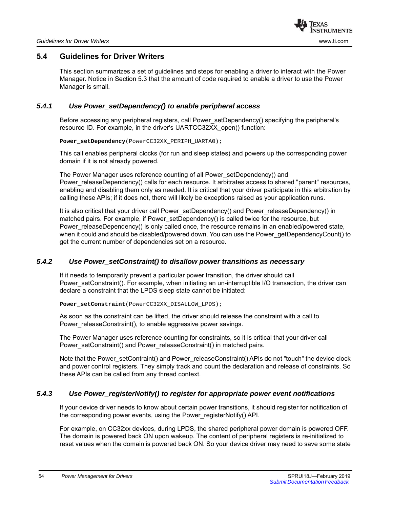

#### <span id="page-53-0"></span>**5.4 Guidelines for Driver Writers**

This section summarizes a set of guidelines and steps for enabling a driver to interact with the Power Manager. Notice in [Section 5.3](#page-51-0) that the amount of code required to enable a driver to use the Power Manager is small.

#### <span id="page-53-1"></span>*5.4.1 Use Power\_setDependency() to enable peripheral access*

<span id="page-53-4"></span>Before accessing any peripheral registers, call Power setDependency() specifying the peripheral's resource ID. For example, in the driver's UARTCC32XX\_open() function:

**Power\_setDependency**(PowerCC32XX\_PERIPH\_UARTA0);

This call enables peripheral clocks (for run and sleep states) and powers up the corresponding power domain if it is not already powered.

The Power Manager uses reference counting of all Power\_setDependency() and Power\_releaseDependency() calls for each resource. It arbitrates access to shared "parent" resources, enabling and disabling them only as needed. It is critical that your driver participate in this arbitration by calling these APIs; if it does not, there will likely be exceptions raised as your application runs.

It is also critical that your driver call Power\_setDependency() and Power\_releaseDependency() in matched pairs. For example, if Power\_setDependency() is called twice for the resource, but Power\_releaseDependency() is only called once, the resource remains in an enabled/powered state, when it could and should be disabled/powered down. You can use the Power\_getDependencyCount() to get the current number of dependencies set on a resource.

#### <span id="page-53-2"></span>*5.4.2 Use Power\_setConstraint() to disallow power transitions as necessary*

<span id="page-53-6"></span>If it needs to temporarily prevent a particular power transition, the driver should call Power\_setConstraint(). For example, when initiating an un-interruptible I/O transaction, the driver can declare a constraint that the LPDS sleep state cannot be initiated:

**Power\_setConstraint**(PowerCC32XX\_DISALLOW\_LPDS);

As soon as the constraint can be lifted, the driver should release the constraint with a call to Power\_releaseConstraint(), to enable aggressive power savings.

The Power Manager uses reference counting for constraints, so it is critical that your driver call Power\_setConstraint() and Power\_releaseConstraint() in matched pairs.

Note that the Power setContraint() and Power releaseConstraint() APIs do not "touch" the device clock and power control registers. They simply track and count the declaration and release of constraints. So these APIs can be called from any thread context.

#### <span id="page-53-3"></span>*5.4.3 Use Power\_registerNotify() to register for appropriate power event notifications*

<span id="page-53-5"></span>If your device driver needs to know about certain power transitions, it should register for notification of the corresponding power events, using the Power\_registerNotify() API.

For example, on CC32xx devices, during LPDS, the shared peripheral power domain is powered OFF. The domain is powered back ON upon wakeup. The content of peripheral registers is re-initialized to reset values when the domain is powered back ON. So your device driver may need to save some state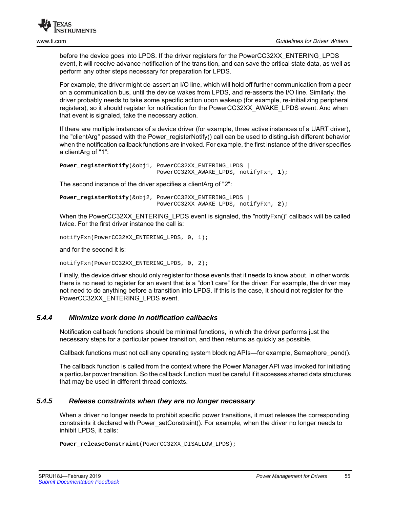

before the device goes into LPDS. If the driver registers for the PowerCC32XX\_ENTERING\_LPDS event, it will receive advance notification of the transition, and can save the critical state data, as well as perform any other steps necessary for preparation for LPDS.

For example, the driver might de-assert an I/O line, which will hold off further communication from a peer on a communication bus, until the device wakes from LPDS, and re-asserts the I/O line. Similarly, the driver probably needs to take some specific action upon wakeup (for example, re-initializing peripheral registers), so it should register for notification for the PowerCC32XX\_AWAKE\_LPDS event. And when that event is signaled, take the necessary action.

If there are multiple instances of a device driver (for example, three active instances of a UART driver), the "clientArg" passed with the Power registerNotify() call can be used to distinguish different behavior when the notification callback functions are invoked. For example, the first instance of the driver specifies a clientArg of "1":

```
Power_registerNotify(&obj1, PowerCC32XX_ENTERING_LPDS |
                             PowerCC32XX_AWAKE_LPDS, notifyFxn, 1);
```
The second instance of the driver specifies a clientArg of "2":

**Power\_registerNotify**(&obj2, PowerCC32XX\_ENTERING\_LPDS | PowerCC32XX\_AWAKE\_LPDS, notifyFxn, **2**);

When the PowerCC32XX\_ENTERING\_LPDS event is signaled, the "notifyFxn()" callback will be called twice. For the first driver instance the call is:

notifyFxn(PowerCC32XX\_ENTERING\_LPDS, 0, 1);

and for the second it is:

notifyFxn(PowerCC32XX\_ENTERING\_LPDS, 0, 2);

Finally, the device driver should only register for those events that it needs to know about. In other words, there is no need to register for an event that is a "don't care" for the driver. For example, the driver may not need to do anything before a transition into LPDS. If this is the case, it should not register for the PowerCC32XX\_ENTERING\_LPDS event.

#### <span id="page-54-0"></span>*5.4.4 Minimize work done in notification callbacks*

Notification callback functions should be minimal functions, in which the driver performs just the necessary steps for a particular power transition, and then returns as quickly as possible.

Callback functions must not call any operating system blocking APIs—for example, Semaphore\_pend().

The callback function is called from the context where the Power Manager API was invoked for initiating a particular power transition. So the callback function must be careful if it accesses shared data structures that may be used in different thread contexts.

#### <span id="page-54-1"></span>*5.4.5 Release constraints when they are no longer necessary*

<span id="page-54-2"></span>When a driver no longer needs to prohibit specific power transitions, it must release the corresponding constraints it declared with Power\_setConstraint(). For example, when the driver no longer needs to inhibit LPDS, it calls:

**Power\_releaseConstraint**(PowerCC32XX\_DISALLOW\_LPDS);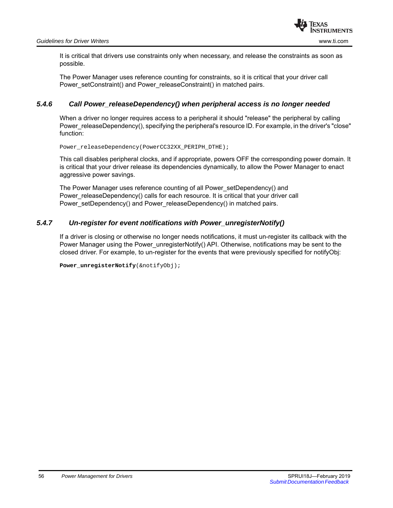

It is critical that drivers use constraints only when necessary, and release the constraints as soon as possible.

The Power Manager uses reference counting for constraints, so it is critical that your driver call Power\_setConstraint() and Power\_releaseConstraint() in matched pairs.

#### <span id="page-55-0"></span>*5.4.6 Call Power\_releaseDependency() when peripheral access is no longer needed*

<span id="page-55-3"></span>When a driver no longer requires access to a peripheral it should "release" the peripheral by calling Power\_releaseDependency(), specifying the peripheral's resource ID. For example, in the driver's "close" function:

Power\_releaseDependency(PowerCC32XX\_PERIPH\_DTHE);

This call disables peripheral clocks, and if appropriate, powers OFF the corresponding power domain. It is critical that your driver release its dependencies dynamically, to allow the Power Manager to enact aggressive power savings.

The Power Manager uses reference counting of all Power\_setDependency() and Power releaseDependency() calls for each resource. It is critical that your driver call Power\_setDependency() and Power\_releaseDependency() in matched pairs.

#### <span id="page-55-1"></span>*5.4.7 Un-register for event notifications with Power\_unregisterNotify()*

<span id="page-55-2"></span>If a driver is closing or otherwise no longer needs notifications, it must un-register its callback with the Power Manager using the Power unregisterNotify() API. Otherwise, notifications may be sent to the closed driver. For example, to un-register for the events that were previously specified for notifyObj:

**Power\_unregisterNotify**( $\&$ notifyObj);